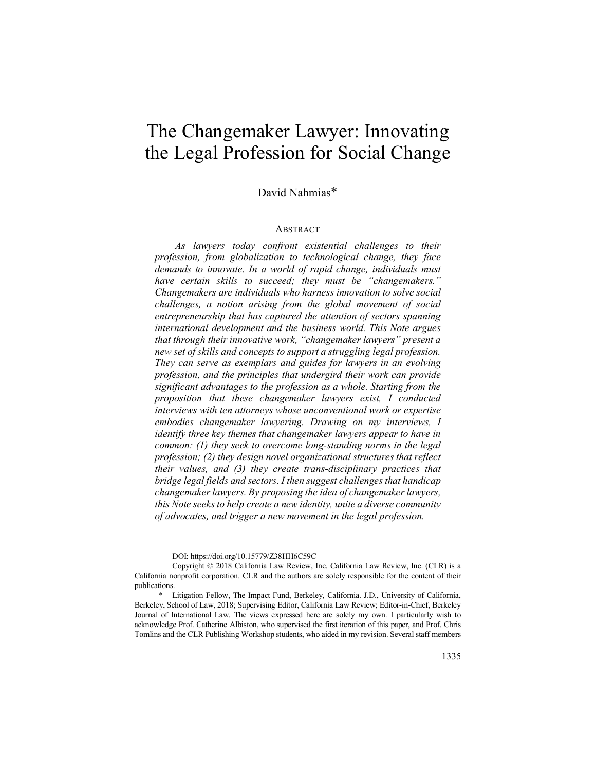# The Changemaker Lawyer: Innovating the Legal Profession for Social Change

David Nahmias\*

# **ABSTRACT**

*As lawyers today confront existential challenges to their profession, from globalization to technological change, they face demands to innovate. In a world of rapid change, individuals must have certain skills to succeed; they must be "changemakers." Changemakers are individuals who harness innovation to solve social challenges, a notion arising from the global movement of social entrepreneurship that has captured the attention of sectors spanning international development and the business world. This Note argues that through their innovative work, "changemaker lawyers" present a new set of skills and concepts to support a struggling legal profession. They can serve as exemplars and guides for lawyers in an evolving profession, and the principles that undergird their work can provide significant advantages to the profession as a whole. Starting from the proposition that these changemaker lawyers exist, I conducted interviews with ten attorneys whose unconventional work or expertise embodies changemaker lawyering. Drawing on my interviews, I identify three key themes that changemaker lawyers appear to have in common: (1) they seek to overcome long-standing norms in the legal profession; (2) they design novel organizational structures that reflect their values, and (3) they create trans-disciplinary practices that bridge legal fields and sectors. I then suggest challenges that handicap changemaker lawyers. By proposing the idea of changemaker lawyers, this Note seeks to help create a new identity, unite a diverse community of advocates, and trigger a new movement in the legal profession.*

DOI: https://doi.org/10.15779/Z38HH6C59C

Copyright © 2018 California Law Review, Inc. California Law Review, Inc. (CLR) is a California nonprofit corporation. CLR and the authors are solely responsible for the content of their publications.

Litigation Fellow, The Impact Fund, Berkeley, California. J.D., University of California, Berkeley, School of Law, 2018; Supervising Editor, California Law Review; Editor-in-Chief, Berkeley Journal of International Law. The views expressed here are solely my own. I particularly wish to acknowledge Prof. Catherine Albiston, who supervised the first iteration of this paper, and Prof. Chris Tomlins and the CLR Publishing Workshop students, who aided in my revision. Several staff members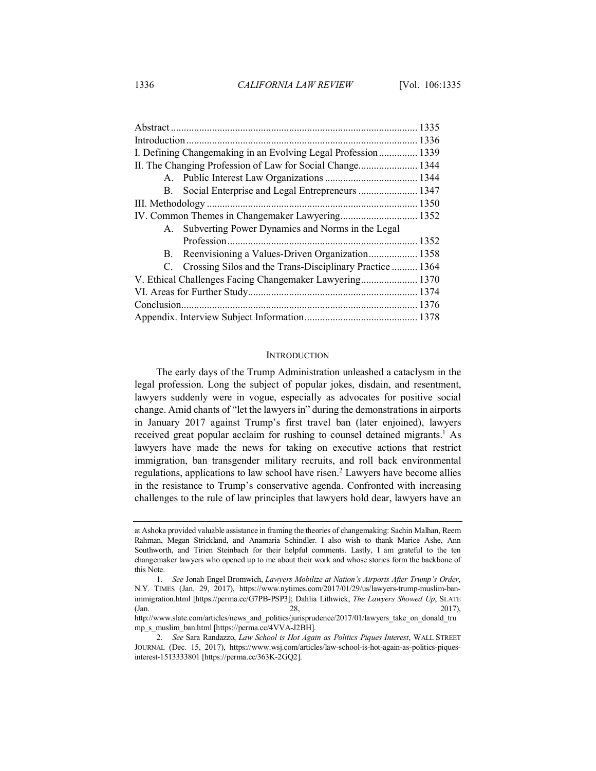| I. Defining Changemaking in an Evolving Legal Profession 1339 |                                                             |      |  |
|---------------------------------------------------------------|-------------------------------------------------------------|------|--|
|                                                               |                                                             |      |  |
|                                                               |                                                             |      |  |
|                                                               | B. Social Enterprise and Legal Entrepreneurs  1347          |      |  |
|                                                               |                                                             |      |  |
|                                                               |                                                             |      |  |
|                                                               | A. Subverting Power Dynamics and Norms in the Legal         |      |  |
|                                                               |                                                             | 1352 |  |
| В.                                                            | Reenvisioning a Values-Driven Organization 1358             |      |  |
|                                                               | C. Crossing Silos and the Trans-Disciplinary Practice  1364 |      |  |
| V. Ethical Challenges Facing Changemaker Lawyering 1370       |                                                             |      |  |
|                                                               |                                                             |      |  |
|                                                               |                                                             |      |  |
|                                                               |                                                             |      |  |

## **INTRODUCTION**

The early days of the Trump Administration unleashed a cataclysm in the legal profession. Long the subject of popular jokes, disdain, and resentment, lawyers suddenly were in vogue, especially as advocates for positive social change. Amid chants of "let the lawyers in" during the demonstrations in airports in January 2017 against Trump's first travel ban (later enjoined), lawyers received great popular acclaim for rushing to counsel detained migrants.<sup>1</sup> As lawyers have made the news for taking on executive actions that restrict immigration, ban transgender military recruits, and roll back environmental regulations, applications to law school have risen.<sup>2</sup> Lawyers have become allies in the resistance to Trump's conservative agenda. Confronted with increasing challenges to the rule of law principles that lawyers hold dear, lawyers have an

at Ashoka provided valuable assistance in framing the theories of changemaking: Sachin Malhan, Reem Rahman, Megan Strickland, and Anamaria Schindler. I also wish to thank Marice Ashe, Ann Southworth, and Tirien Steinbach for their helpful comments. Lastly, I am grateful to the ten changemaker lawyers who opened up to me about their work and whose stories form the backbone of this Note.

<sup>1.</sup> *See* Jonah Engel Bromwich, *Lawyers Mobilize at Nation's Airports After Trump's Order*, N.Y. TIMES (Jan. 29, 2017), https://www.nytimes.com/2017/01/29/us/lawyers-trump-muslim-banimmigration.html [https://perma.cc/G7PB-PSP3]; Dahlia Lithwick, *The Lawyers Showed Up*, SLATE  $28,$  2017),

http://www.slate.com/articles/news\_and\_politics/jurisprudence/2017/01/lawyers\_take\_on\_donald\_tru mp\_s\_muslim\_ban.html [https://perma.cc/4VVA-J2BH].

<sup>2.</sup> *See* Sara Randazzo, *Law School is Hot Again as Politics Piques Interest*, WALL STREET JOURNAL (Dec. 15, 2017), https://www.wsj.com/articles/law-school-is-hot-again-as-politics-piquesinterest-1513333801 [https://perma.cc/363K-2GQ2].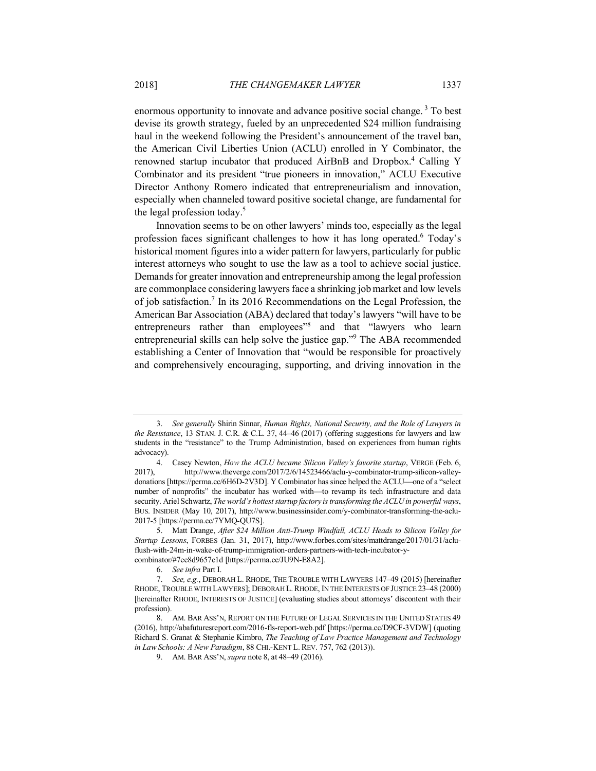enormous opportunity to innovate and advance positive social change. <sup>3</sup> To best devise its growth strategy, fueled by an unprecedented \$24 million fundraising haul in the weekend following the President's announcement of the travel ban, the American Civil Liberties Union (ACLU) enrolled in Y Combinator, the renowned startup incubator that produced AirBnB and Dropbox.4 Calling Y Combinator and its president "true pioneers in innovation," ACLU Executive Director Anthony Romero indicated that entrepreneurialism and innovation, especially when channeled toward positive societal change, are fundamental for the legal profession today.<sup>5</sup>

Innovation seems to be on other lawyers' minds too, especially as the legal profession faces significant challenges to how it has long operated.6 Today's historical moment figures into a wider pattern for lawyers, particularly for public interest attorneys who sought to use the law as a tool to achieve social justice. Demands for greater innovation and entrepreneurship among the legal profession are commonplace considering lawyers face a shrinking job market and low levels of job satisfaction.7 In its 2016 Recommendations on the Legal Profession, the American Bar Association (ABA) declared that today's lawyers "will have to be entrepreneurs rather than employees<sup>"8</sup> and that "lawyers who learn entrepreneurial skills can help solve the justice gap."9 The ABA recommended establishing a Center of Innovation that "would be responsible for proactively and comprehensively encouraging, supporting, and driving innovation in the

<sup>3.</sup> *See generally* Shirin Sinnar, *Human Rights, National Security, and the Role of Lawyers in the Resistance*, 13 STAN. J. C.R. & C.L. 37, 44–46 (2017) (offering suggestions for lawyers and law students in the "resistance" to the Trump Administration, based on experiences from human rights advocacy).

<sup>4.</sup> Casey Newton, *How the ACLU became Silicon Valley's favorite startup*, VERGE (Feb. 6, 2017), http://www.theverge.com/2017/2/6/14523466/aclu-y-combinator-trump-silicon-valleydonations [https://perma.cc/6H6D-2V3D]. Y Combinator has since helped the ACLU—one of a "select number of nonprofits" the incubator has worked with—to revamp its tech infrastructure and data security. Ariel Schwartz, *The world's hottest startup factory is transforming the ACLU in powerful ways*, BUS. INSIDER (May 10, 2017), http://www.businessinsider.com/y-combinator-transforming-the-aclu-2017-5 [https://perma.cc/7YMQ-QU7S].

<sup>5.</sup> Matt Drange, *After \$24 Million Anti-Trump Windfall, ACLU Heads to Silicon Valley for Startup Lessons*, FORBES (Jan. 31, 2017), http://www.forbes.com/sites/mattdrange/2017/01/31/acluflush-with-24m-in-wake-of-trump-immigration-orders-partners-with-tech-incubator-ycombinator/#7ee8d9657c1d [https://perma.cc/JU9N-E8A2].

<sup>6.</sup> *See infra* Part I.

<sup>7.</sup> *See, e.g.*, DEBORAH L. RHODE, THE TROUBLE WITH LAWYERS 147–49 (2015) [hereinafter RHODE, TROUBLE WITH LAWYERS]; DEBORAH L. RHODE, IN THE INTERESTS OF JUSTICE 23-48 (2000) [hereinafter RHODE, INTERESTS OF JUSTICE] (evaluating studies about attorneys' discontent with their profession).

<sup>8.</sup> AM. BAR ASS'N, REPORT ON THE FUTURE OF LEGAL SERVICES IN THE UNITED STATES 49 (2016), http://abafuturesreport.com/2016-fls-report-web.pdf [https://perma.cc/D9CF-3VDW] (quoting Richard S. Granat & Stephanie Kimbro, *The Teaching of Law Practice Management and Technology in Law Schools: A New Paradigm*, 88 CHI.-KENT L. REV. 757, 762 (2013)).

<sup>9.</sup> AM. BAR ASS'N, *supra* note 8, at 48–49 (2016).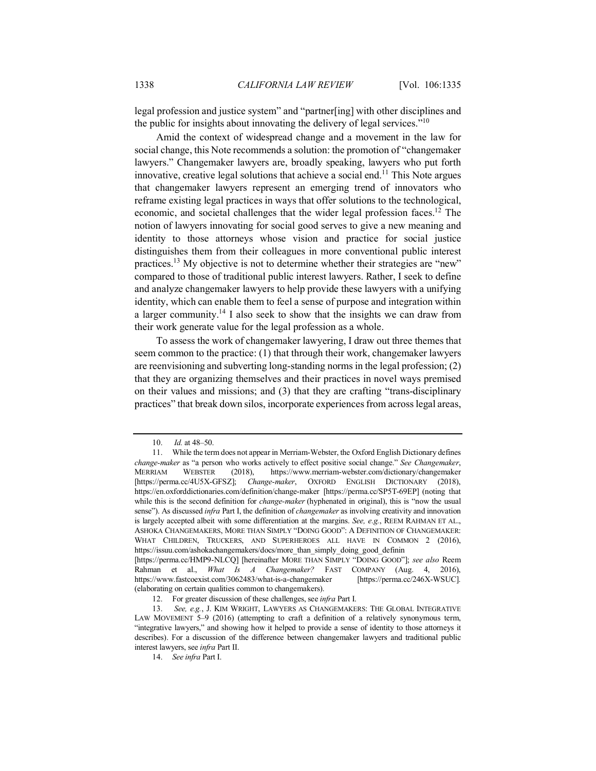legal profession and justice system" and "partner[ing] with other disciplines and the public for insights about innovating the delivery of legal services."10

Amid the context of widespread change and a movement in the law for social change, this Note recommends a solution: the promotion of "changemaker lawyers." Changemaker lawyers are, broadly speaking, lawyers who put forth innovative, creative legal solutions that achieve a social end.<sup>11</sup> This Note argues that changemaker lawyers represent an emerging trend of innovators who reframe existing legal practices in ways that offer solutions to the technological, economic, and societal challenges that the wider legal profession faces.12 The notion of lawyers innovating for social good serves to give a new meaning and identity to those attorneys whose vision and practice for social justice distinguishes them from their colleagues in more conventional public interest practices.<sup>13</sup> My objective is not to determine whether their strategies are "new" compared to those of traditional public interest lawyers. Rather, I seek to define and analyze changemaker lawyers to help provide these lawyers with a unifying identity, which can enable them to feel a sense of purpose and integration within a larger community.14 I also seek to show that the insights we can draw from their work generate value for the legal profession as a whole.

To assess the work of changemaker lawyering, I draw out three themes that seem common to the practice: (1) that through their work, changemaker lawyers are reenvisioning and subverting long-standing norms in the legal profession; (2) that they are organizing themselves and their practices in novel ways premised on their values and missions; and (3) that they are crafting "trans-disciplinary practices" that break down silos, incorporate experiences from across legal areas,

<sup>10.</sup> *Id.* at 48–50.

<sup>11.</sup> While the term does not appear in Merriam-Webster, the Oxford English Dictionary defines *change-maker* as "a person who works actively to effect positive social change." *See Changemaker*, MERRIAM WEBSTER (2018), https://www.merriam-webster.com/dictionary/changemaker [https://perma.cc/4U5X-GFSZ]; *Change-maker*, OXFORD ENGLISH DICTIONARY (2018), https://en.oxforddictionaries.com/definition/change-maker [https://perma.cc/SP5T-69EP] (noting that while this is the second definition for *change-maker* (hyphenated in original), this is "now the usual sense"). As discussed *infra* Part I, the definition of *changemaker* as involving creativity and innovation is largely accepted albeit with some differentiation at the margins. *See, e.g.*, REEM RAHMAN ET AL., ASHOKA CHANGEMAKERS, MORE THAN SIMPLY "DOING GOOD": A DEFINITION OF CHANGEMAKER: WHAT CHILDREN, TRUCKERS, AND SUPERHEROES ALL HAVE IN COMMON 2 (2016), https://issuu.com/ashokachangemakers/docs/more\_than\_simply\_doing\_good\_definin [https://perma.cc/HMP9-NLCQ] [hereinafter MORE THAN SIMPLY "DOING GOOD"]; *see also* Reem Rahman et al., *What Is A Changemaker?* FAST COMPANY (Aug. 4, 2016), https://www.fastcoexist.com/3062483/what-is-a-changemaker [https://perma.cc/246X-WSUC].

<sup>(</sup>elaborating on certain qualities common to changemakers).

<sup>12.</sup> For greater discussion of these challenges, see *infra* Part I.

<sup>13.</sup> *See, e.g.*, J. KIM WRIGHT, LAWYERS AS CHANGEMAKERS: THE GLOBAL INTEGRATIVE LAW MOVEMENT 5–9 (2016) (attempting to craft a definition of a relatively synonymous term, "integrative lawyers," and showing how it helped to provide a sense of identity to those attorneys it describes). For a discussion of the difference between changemaker lawyers and traditional public interest lawyers, see *infra* Part II.

<sup>14.</sup> *See infra* Part I.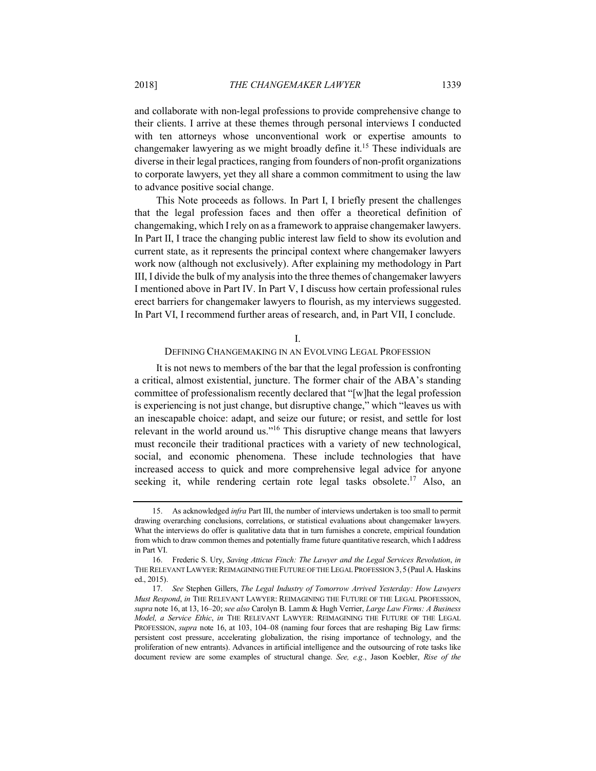and collaborate with non-legal professions to provide comprehensive change to their clients. I arrive at these themes through personal interviews I conducted with ten attorneys whose unconventional work or expertise amounts to changemaker lawyering as we might broadly define it.<sup>15</sup> These individuals are diverse in their legal practices, ranging from founders of non-profit organizations to corporate lawyers, yet they all share a common commitment to using the law to advance positive social change.

This Note proceeds as follows. In Part I, I briefly present the challenges that the legal profession faces and then offer a theoretical definition of changemaking, which I rely on as a framework to appraise changemaker lawyers. In Part II, I trace the changing public interest law field to show its evolution and current state, as it represents the principal context where changemaker lawyers work now (although not exclusively). After explaining my methodology in Part III, I divide the bulk of my analysis into the three themes of changemaker lawyers I mentioned above in Part IV. In Part V, I discuss how certain professional rules erect barriers for changemaker lawyers to flourish, as my interviews suggested. In Part VI, I recommend further areas of research, and, in Part VII, I conclude.

I.

## DEFINING CHANGEMAKING IN AN EVOLVING LEGAL PROFESSION

It is not news to members of the bar that the legal profession is confronting a critical, almost existential, juncture. The former chair of the ABA's standing committee of professionalism recently declared that "[w]hat the legal profession is experiencing is not just change, but disruptive change," which "leaves us with an inescapable choice: adapt, and seize our future; or resist, and settle for lost relevant in the world around us."16 This disruptive change means that lawyers must reconcile their traditional practices with a variety of new technological, social, and economic phenomena. These include technologies that have increased access to quick and more comprehensive legal advice for anyone seeking it, while rendering certain rote legal tasks obsolete.<sup>17</sup> Also, an

<sup>15.</sup> As acknowledged *infra* Part III, the number of interviews undertaken is too small to permit drawing overarching conclusions, correlations, or statistical evaluations about changemaker lawyers. What the interviews do offer is qualitative data that in turn furnishes a concrete, empirical foundation from which to draw common themes and potentially frame future quantitative research, which I address in Part VI.

<sup>16.</sup> Frederic S. Ury, *Saving Atticus Finch: The Lawyer and the Legal Services Revolution*, *in* THE RELEVANT LAWYER: REIMAGINING THE FUTURE OF THE LEGAL PROFESSION 3, 5 (Paul A. Haskins ed., 2015).

<sup>17.</sup> *See* Stephen Gillers, *The Legal Industry of Tomorrow Arrived Yesterday: How Lawyers Must Respond*, *in* THE RELEVANT LAWYER: REIMAGINING THE FUTURE OF THE LEGAL PROFESSION, *supra* note 16, at 13, 16–20; *see also* Carolyn B. Lamm & Hugh Verrier, *Large Law Firms: A Business Model, a Service Ethic*, *in* THE RELEVANT LAWYER: REIMAGINING THE FUTURE OF THE LEGAL PROFESSION, *supra* note 16, at 103, 104–08 (naming four forces that are reshaping Big Law firms: persistent cost pressure, accelerating globalization, the rising importance of technology, and the proliferation of new entrants). Advances in artificial intelligence and the outsourcing of rote tasks like document review are some examples of structural change. *See, e.g.*, Jason Koebler, *Rise of the*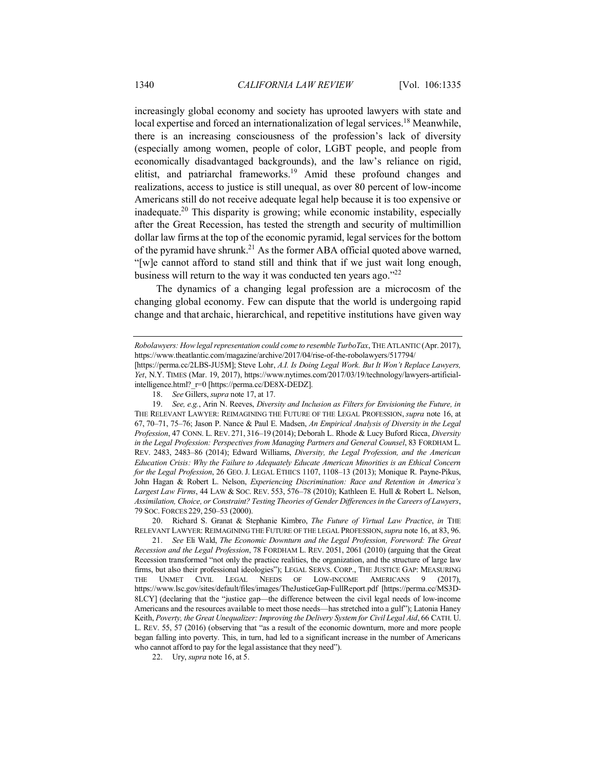increasingly global economy and society has uprooted lawyers with state and local expertise and forced an internationalization of legal services.<sup>18</sup> Meanwhile, there is an increasing consciousness of the profession's lack of diversity (especially among women, people of color, LGBT people, and people from economically disadvantaged backgrounds), and the law's reliance on rigid, elitist, and patriarchal frameworks.19 Amid these profound changes and realizations, access to justice is still unequal, as over 80 percent of low-income Americans still do not receive adequate legal help because it is too expensive or inadequate.<sup>20</sup> This disparity is growing; while economic instability, especially after the Great Recession, has tested the strength and security of multimillion dollar law firms at the top of the economic pyramid, legal services for the bottom of the pyramid have shrunk.<sup>21</sup> As the former ABA official quoted above warned, "[w]e cannot afford to stand still and think that if we just wait long enough, business will return to the way it was conducted ten years ago."<sup>22</sup>

The dynamics of a changing legal profession are a microcosm of the changing global economy. Few can dispute that the world is undergoing rapid change and that archaic, hierarchical, and repetitive institutions have given way

19. *See, e.g.*, Arin N. Reeves, *Diversity and Inclusion as Filters for Envisioning the Future, in* THE RELEVANT LAWYER: REIMAGINING THE FUTURE OF THE LEGAL PROFESSION, *supra* note 16, at 67, 70–71, 75–76; Jason P. Nance & Paul E. Madsen, *An Empirical Analysis of Diversity in the Legal Profession*, 47 CONN. L. REV. 271, 316–19 (2014); Deborah L. Rhode & Lucy Buford Ricca, *Diversity in the Legal Profession: Perspectives from Managing Partners and General Counsel*, 83 FORDHAM L. REV. 2483, 2483–86 (2014); Edward Williams, *Diversity, the Legal Profession, and the American Education Crisis: Why the Failure to Adequately Educate American Minorities is an Ethical Concern for the Legal Profession*, 26 GEO. J. LEGAL ETHICS 1107, 1108–13 (2013); Monique R. Payne-Pikus, John Hagan & Robert L. Nelson, *Experiencing Discrimination: Race and Retention in America's Largest Law Firms*, 44 LAW & SOC. REV. 553, 576–78 (2010); Kathleen E. Hull & Robert L. Nelson, *Assimilation, Choice, or Constraint? Testing Theories of Gender Differences in the Careers of Lawyers*, 79 SOC. FORCES 229, 250–53 (2000).

20. Richard S. Granat & Stephanie Kimbro, *The Future of Virtual Law Practice*, *in* THE RELEVANT LAWYER: REIMAGINING THE FUTURE OF THE LEGAL PROFESSION,*supra* note 16, at 83, 96.

21. *See* Eli Wald, *The Economic Downturn and the Legal Profession, Foreword: The Great Recession and the Legal Profession*, 78 FORDHAM L. REV. 2051, 2061 (2010) (arguing that the Great Recession transformed "not only the practice realities, the organization, and the structure of large law firms, but also their professional ideologies"); LEGAL SERVS. CORP., THE JUSTICE GAP: MEASURING THE UNMET CIVIL LEGAL NEEDS OF LOW-INCOME AMERICANS 9 (2017), https://www.lsc.gov/sites/default/files/images/TheJusticeGap-FullReport.pdf [https://perma.cc/MS3D-8LCY] (declaring that the "justice gap—the difference between the civil legal needs of low-income Americans and the resources available to meet those needs—has stretched into a gulf"); Latonia Haney Keith, *Poverty, the Great Unequalizer: Improving the Delivery System for Civil Legal Aid*, 66 CATH. U. L. REV. 55, 57 (2016) (observing that "as a result of the economic downturn, more and more people began falling into poverty. This, in turn, had led to a significant increase in the number of Americans who cannot afford to pay for the legal assistance that they need").

22. Ury, *supra* note 16, at 5.

*Robolawyers: How legal representation could come to resemble TurboTax*, THE ATLANTIC(Apr. 2017), https://www.theatlantic.com/magazine/archive/2017/04/rise-of-the-robolawyers/517794/

<sup>[</sup>https://perma.cc/2LBS-JU5M]; Steve Lohr, *A.I. Is Doing Legal Work. But It Won't Replace Lawyers, Yet*, N.Y. TIMES (Mar. 19, 2017), https://www.nytimes.com/2017/03/19/technology/lawyers-artificialintelligence.html?\_r=0 [https://perma.cc/DE8X-DEDZ].

<sup>18.</sup> *See* Gillers, *supra* note 17, at 17.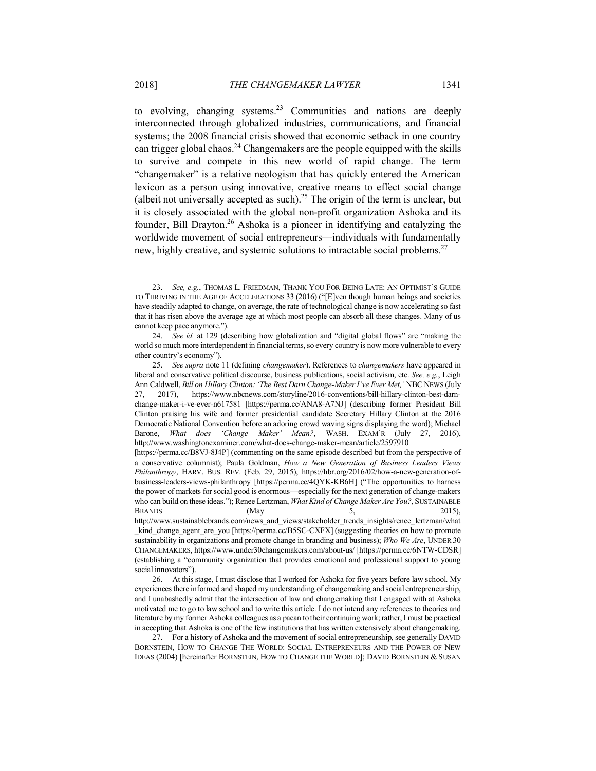to evolving, changing systems.<sup>23</sup> Communities and nations are deeply interconnected through globalized industries, communications, and financial systems; the 2008 financial crisis showed that economic setback in one country can trigger global chaos.<sup>24</sup> Changemakers are the people equipped with the skills to survive and compete in this new world of rapid change. The term "changemaker" is a relative neologism that has quickly entered the American lexicon as a person using innovative, creative means to effect social change (albeit not universally accepted as such).<sup>25</sup> The origin of the term is unclear, but it is closely associated with the global non-profit organization Ashoka and its founder, Bill Drayton.26 Ashoka is a pioneer in identifying and catalyzing the worldwide movement of social entrepreneurs—individuals with fundamentally new, highly creative, and systemic solutions to intractable social problems.<sup>27</sup>

<sup>23.</sup> *See, e.g.*, THOMAS L. FRIEDMAN, THANK YOU FOR BEING LATE: AN OPTIMIST'S GUIDE TO THRIVING IN THE AGE OF ACCELERATIONS 33 (2016) ("[E]ven though human beings and societies have steadily adapted to change, on average, the rate of technological change is now accelerating so fast that it has risen above the average age at which most people can absorb all these changes. Many of us cannot keep pace anymore.").

<sup>24.</sup> *See id.* at 129 (describing how globalization and "digital global flows" are "making the world so much more interdependent in financial terms, so every country is now more vulnerable to every other country's economy").

<sup>25.</sup> *See supra* note 11 (defining *changemaker*). References to *changemakers* have appeared in liberal and conservative political discourse, business publications, social activism, etc. *See, e.g.*, Leigh Ann Caldwell, *Bill on Hillary Clinton: 'The Best Darn Change-Maker I've Ever Met,'* NBC NEWS (July 27, 2017), https://www.nbcnews.com/storyline/2016-conventions/bill-hillary-clinton-best-darnchange-maker-i-ve-ever-n617581 [https://perma.cc/ANA8-A7NJ] (describing former President Bill Clinton praising his wife and former presidential candidate Secretary Hillary Clinton at the 2016 Democratic National Convention before an adoring crowd waving signs displaying the word); Michael Barone, *What does 'Change Maker' Mean?*, WASH. EXAM'R (July 27, 2016), http://www.washingtonexaminer.com/what-does-change-maker-mean/article/2597910

<sup>[</sup>https://perma.cc/B8VJ-8J4P] (commenting on the same episode described but from the perspective of a conservative columnist); Paula Goldman, *How a New Generation of Business Leaders Views Philanthropy*, HARV. BUS. REV. (Feb. 29, 2015), https://hbr.org/2016/02/how-a-new-generation-ofbusiness-leaders-views-philanthropy [https://perma.cc/4QYK-KB6H] ("The opportunities to harness the power of markets for social good is enormous—especially for the next generation of change-makers who can build on these ideas."); Renee Lertzman, *What Kind of Change Maker Are You?*, SUSTAINABLE BRANDS (May  $5,$  2015), http://www.sustainablebrands.com/news\_and\_views/stakeholder\_trends\_insights/renee\_lertzman/what \_kind\_change\_agent\_are\_you [https://perma.cc/B5SC-CXFX] (suggesting theories on how to promote sustainability in organizations and promote change in branding and business); *Who We Are*, UNDER 30

CHANGEMAKERS, https://www.under30changemakers.com/about-us/ [https://perma.cc/6NTW-CDSR] (establishing a "community organization that provides emotional and professional support to young social innovators").

<sup>26.</sup> At this stage, I must disclose that I worked for Ashoka for five years before law school. My experiences there informed and shaped my understanding of changemaking and social entrepreneurship, and I unabashedly admit that the intersection of law and changemaking that I engaged with at Ashoka motivated me to go to law school and to write this article. I do not intend any references to theories and literature by my former Ashoka colleagues as a paean to their continuing work; rather, I must be practical in accepting that Ashoka is one of the few institutions that has written extensively about changemaking.

<sup>27.</sup> For a history of Ashoka and the movement of social entrepreneurship, see generally DAVID BORNSTEIN, HOW TO CHANGE THE WORLD: SOCIAL ENTREPRENEURS AND THE POWER OF NEW IDEAS (2004) [hereinafter BORNSTEIN, HOW TO CHANGE THE WORLD]; DAVID BORNSTEIN & SUSAN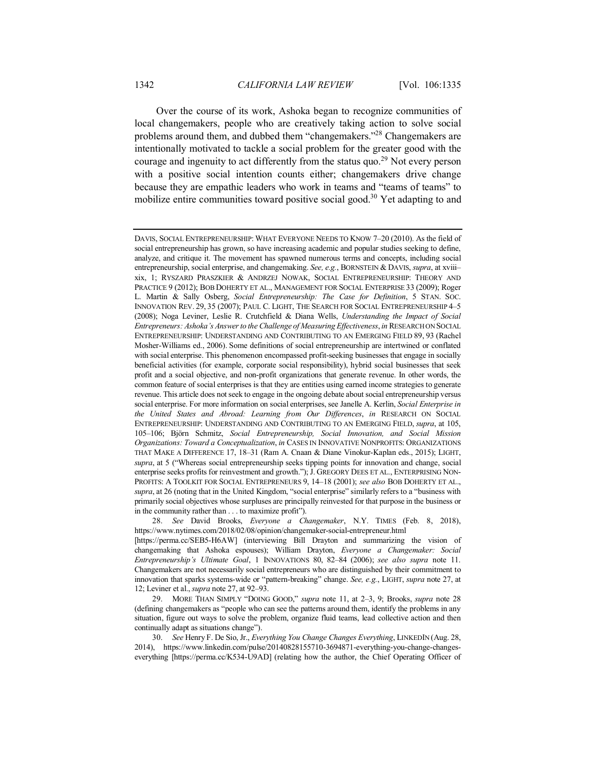Over the course of its work, Ashoka began to recognize communities of local changemakers, people who are creatively taking action to solve social problems around them, and dubbed them "changemakers."28 Changemakers are intentionally motivated to tackle a social problem for the greater good with the courage and ingenuity to act differently from the status quo.<sup>29</sup> Not every person with a positive social intention counts either; changemakers drive change because they are empathic leaders who work in teams and "teams of teams" to mobilize entire communities toward positive social good.<sup>30</sup> Yet adapting to and

28. *See* David Brooks, *Everyone a Changemaker*, N.Y. TIMES (Feb. 8, 2018), https://www.nytimes.com/2018/02/08/opinion/changemaker-social-entrepreneur.html

30. *See* Henry F. De Sio, Jr., *Everything You Change Changes Everything*, LINKEDIN (Aug. 28, 2014), https://www.linkedin.com/pulse/20140828155710-3694871-everything-you-change-changeseverything [https://perma.cc/K534-U9AD] (relating how the author, the Chief Operating Officer of

DAVIS, SOCIAL ENTREPRENEURSHIP: WHAT EVERYONE NEEDS TO KNOW 7–20 (2010). As the field of social entrepreneurship has grown, so have increasing academic and popular studies seeking to define, analyze, and critique it. The movement has spawned numerous terms and concepts, including social entrepreneurship, social enterprise, and changemaking. *See, e.g.*, BORNSTEIN & DAVIS, *supra*, at xviii– xix, 1; RYSZARD PRASZKIER & ANDRZEJ NOWAK, SOCIAL ENTREPRENEURSHIP: THEORY AND PRACTICE 9 (2012); BOB DOHERTY ET AL., MANAGEMENT FOR SOCIAL ENTERPRISE 33 (2009); Roger L. Martin & Sally Osberg, *Social Entrepreneurship: The Case for Definition*, 5 STAN. SOC. INNOVATION REV. 29, 35 (2007); PAUL C. LIGHT, THE SEARCH FOR SOCIAL ENTREPRENEURSHIP 4–5 (2008); Noga Leviner, Leslie R. Crutchfield & Diana Wells, *Understanding the Impact of Social Entrepreneurs: Ashoka's Answer to the Challenge of Measuring Effectiveness*, *in* RESEARCH ON SOCIAL ENTREPRENEURSHIP: UNDERSTANDING AND CONTRIBUTING TO AN EMERGING FIELD 89, 93 (Rachel Mosher-Williams ed., 2006). Some definitions of social entrepreneurship are intertwined or conflated with social enterprise. This phenomenon encompassed profit-seeking businesses that engage in socially beneficial activities (for example, corporate social responsibility), hybrid social businesses that seek profit and a social objective, and non-profit organizations that generate revenue. In other words, the common feature of social enterprises is that they are entities using earned income strategies to generate revenue. This article does not seek to engage in the ongoing debate about social entrepreneurship versus social enterprise. For more information on social enterprises, see Janelle A. Kerlin, *Social Enterprise in the United States and Abroad: Learning from Our Differences*, *in* RESEARCH ON SOCIAL ENTREPRENEURSHIP: UNDERSTANDING AND CONTRIBUTING TO AN EMERGING FIELD, *supra*, at 105, 105–106; Björn Schmitz, *Social Entrepreneurship, Social Innovation, and Social Mission Organizations: Toward a Conceptualization*, *in* CASES IN INNOVATIVE NONPROFITS: ORGANIZATIONS THAT MAKE A DIFFERENCE 17, 18–31 (Ram A. Cnaan & Diane Vinokur-Kaplan eds., 2015); LIGHT, *supra*, at 5 ("Whereas social entrepreneurship seeks tipping points for innovation and change, social enterprise seeks profits for reinvestment and growth."); J. GREGORY DEES ET AL., ENTERPRISING NON-PROFITS: A TOOLKIT FOR SOCIAL ENTREPRENEURS 9, 14–18 (2001); *see also* BOB DOHERTY ET AL., *supra*, at 26 (noting that in the United Kingdom, "social enterprise" similarly refers to a "business with primarily social objectives whose surpluses are principally reinvested for that purpose in the business or in the community rather than . . . to maximize profit").

<sup>[</sup>https://perma.cc/SEB5-H6AW] (interviewing Bill Drayton and summarizing the vision of changemaking that Ashoka espouses); William Drayton, *Everyone a Changemaker: Social Entrepreneurship's Ultimate Goal*, 1 INNOVATIONS 80, 82–84 (2006); *see also supra* note 11. Changemakers are not necessarily social entrepreneurs who are distinguished by their commitment to innovation that sparks systems-wide or "pattern-breaking" change. *See, e.g.*, LIGHT, *supra* note 27, at 12; Leviner et al., *supra* note 27, at 92–93.

<sup>29.</sup> MORE THAN SIMPLY "DOING GOOD," *supra* note 11, at 2–3, 9; Brooks, *supra* note 28 (defining changemakers as "people who can see the patterns around them, identify the problems in any situation, figure out ways to solve the problem, organize fluid teams, lead collective action and then continually adapt as situations change").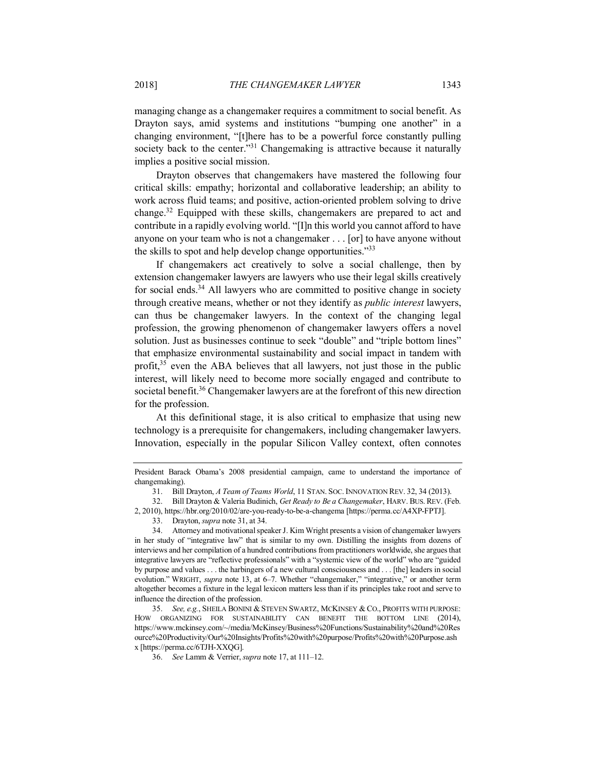managing change as a changemaker requires a commitment to social benefit. As Drayton says, amid systems and institutions "bumping one another" in a changing environment, "[t]here has to be a powerful force constantly pulling society back to the center."<sup>31</sup> Changemaking is attractive because it naturally implies a positive social mission.

Drayton observes that changemakers have mastered the following four critical skills: empathy; horizontal and collaborative leadership; an ability to work across fluid teams; and positive, action-oriented problem solving to drive change.32 Equipped with these skills, changemakers are prepared to act and contribute in a rapidly evolving world. "[I]n this world you cannot afford to have anyone on your team who is not a changemaker . . . [or] to have anyone without the skills to spot and help develop change opportunities."<sup>33</sup>

If changemakers act creatively to solve a social challenge, then by extension changemaker lawyers are lawyers who use their legal skills creatively for social ends.<sup>34</sup> All lawyers who are committed to positive change in society through creative means, whether or not they identify as *public interest* lawyers, can thus be changemaker lawyers. In the context of the changing legal profession, the growing phenomenon of changemaker lawyers offers a novel solution. Just as businesses continue to seek "double" and "triple bottom lines" that emphasize environmental sustainability and social impact in tandem with profit,<sup>35</sup> even the ABA believes that all lawyers, not just those in the public interest, will likely need to become more socially engaged and contribute to societal benefit.<sup>36</sup> Changemaker lawyers are at the forefront of this new direction for the profession.

At this definitional stage, it is also critical to emphasize that using new technology is a prerequisite for changemakers, including changemaker lawyers. Innovation, especially in the popular Silicon Valley context, often connotes

2, 2010), https://hbr.org/2010/02/are-you-ready-to-be-a-changema [https://perma.cc/A4XP-FPTJ].

President Barack Obama's 2008 presidential campaign, came to understand the importance of changemaking).

<sup>31.</sup> Bill Drayton, *A Team of Teams World*, 11 STAN. SOC. INNOVATION REV. 32, 34 (2013).

<sup>32.</sup> Bill Drayton & Valeria Budinich, *Get Ready to Be a Changemaker*, HARV. BUS. REV. (Feb.

<sup>33.</sup> Drayton, *supra* note 31, at 34.

<sup>34.</sup> Attorney and motivational speaker J. Kim Wright presents a vision of changemaker lawyers in her study of "integrative law" that is similar to my own. Distilling the insights from dozens of interviews and her compilation of a hundred contributions from practitioners worldwide, she argues that integrative lawyers are "reflective professionals" with a "systemic view of the world" who are "guided by purpose and values . . . the harbingers of a new cultural consciousness and . . . [the] leaders in social evolution." WRIGHT, *supra* note 13, at 6-7. Whether "changemaker," "integrative," or another term altogether becomes a fixture in the legal lexicon matters less than if its principles take root and serve to influence the direction of the profession.

<sup>35.</sup> *See, e.g.*, SHEILA BONINI & STEVEN SWARTZ, MCKINSEY & CO., PROFITS WITH PURPOSE: HOW ORGANIZING FOR SUSTAINABILITY CAN BENEFIT THE BOTTOM LINE (2014), https://www.mckinsey.com/~/media/McKinsey/Business%20Functions/Sustainability%20and%20Res ource%20Productivity/Our%20Insights/Profits%20with%20purpose/Profits%20with%20Purpose.ash x [https://perma.cc/6TJH-XXQG].

<sup>36.</sup> *See* Lamm & Verrier, *supra* note 17, at 111–12.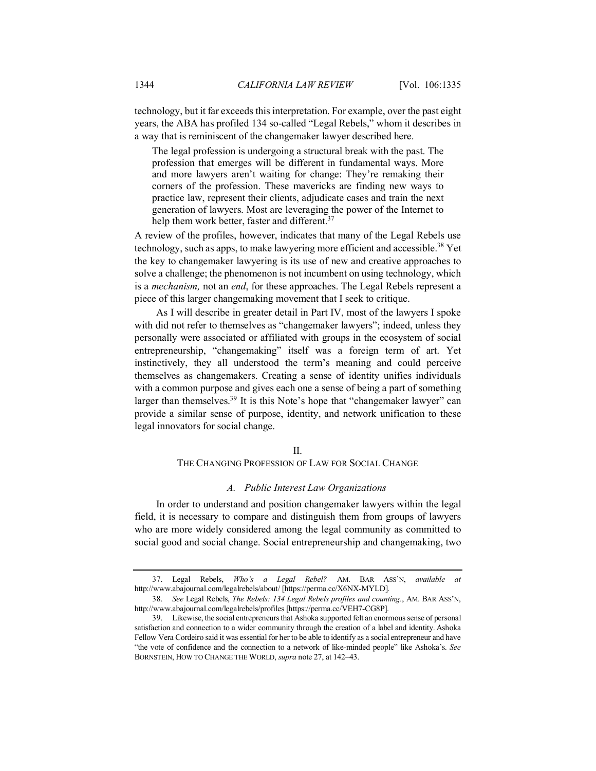technology, but it far exceeds this interpretation. For example, over the past eight years, the ABA has profiled 134 so-called "Legal Rebels," whom it describes in a way that is reminiscent of the changemaker lawyer described here.

The legal profession is undergoing a structural break with the past. The profession that emerges will be different in fundamental ways. More and more lawyers aren't waiting for change: They're remaking their corners of the profession. These mavericks are finding new ways to practice law, represent their clients, adjudicate cases and train the next generation of lawyers. Most are leveraging the power of the Internet to help them work better, faster and different.<sup>37</sup>

A review of the profiles, however, indicates that many of the Legal Rebels use technology, such as apps, to make lawyering more efficient and accessible.<sup>38</sup> Yet the key to changemaker lawyering is its use of new and creative approaches to solve a challenge; the phenomenon is not incumbent on using technology, which is a *mechanism,* not an *end*, for these approaches. The Legal Rebels represent a piece of this larger changemaking movement that I seek to critique.

As I will describe in greater detail in Part IV, most of the lawyers I spoke with did not refer to themselves as "changemaker lawyers"; indeed, unless they personally were associated or affiliated with groups in the ecosystem of social entrepreneurship, "changemaking" itself was a foreign term of art. Yet instinctively, they all understood the term's meaning and could perceive themselves as changemakers. Creating a sense of identity unifies individuals with a common purpose and gives each one a sense of being a part of something larger than themselves.<sup>39</sup> It is this Note's hope that "changemaker lawyer" can provide a similar sense of purpose, identity, and network unification to these legal innovators for social change.

#### $II$ .

#### THE CHANGING PROFESSION OF LAW FOR SOCIAL CHANGE

#### *A. Public Interest Law Organizations*

In order to understand and position changemaker lawyers within the legal field, it is necessary to compare and distinguish them from groups of lawyers who are more widely considered among the legal community as committed to social good and social change. Social entrepreneurship and changemaking, two

<sup>37.</sup> Legal Rebels, *Who's a Legal Rebel?* AM. BAR ASS'N, *available at* http://www.abajournal.com/legalrebels/about/ [https://perma.cc/X6NX-MYLD].

<sup>38.</sup> *See* Legal Rebels, *The Rebels: 134 Legal Rebels profiles and counting.*, AM. BAR ASS'N, http://www.abajournal.com/legalrebels/profiles [https://perma.cc/VEH7-CG8P].

<sup>39.</sup> Likewise, the social entrepreneurs that Ashoka supported felt an enormous sense of personal satisfaction and connection to a wider community through the creation of a label and identity. Ashoka Fellow Vera Cordeiro said it was essential for her to be able to identify as a social entrepreneur and have "the vote of confidence and the connection to a network of like-minded people" like Ashoka's. *See* BORNSTEIN, HOW TO CHANGE THE WORLD, *supra* note 27, at 142–43.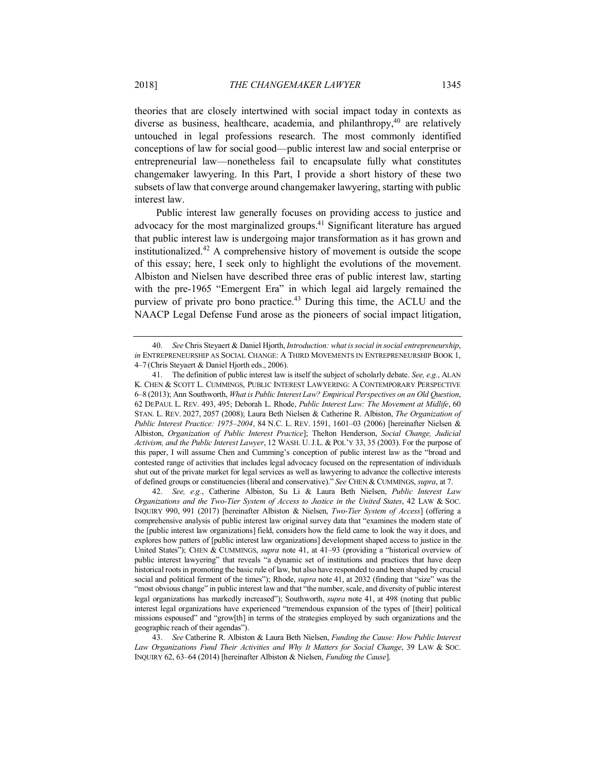theories that are closely intertwined with social impact today in contexts as diverse as business, healthcare, academia, and philanthropy, $40$  are relatively untouched in legal professions research. The most commonly identified conceptions of law for social good—public interest law and social enterprise or entrepreneurial law—nonetheless fail to encapsulate fully what constitutes changemaker lawyering. In this Part, I provide a short history of these two subsets of law that converge around changemaker lawyering, starting with public interest law.

Public interest law generally focuses on providing access to justice and advocacy for the most marginalized groups.41 Significant literature has argued that public interest law is undergoing major transformation as it has grown and institutionalized.<sup>42</sup> A comprehensive history of movement is outside the scope of this essay; here, I seek only to highlight the evolutions of the movement. Albiston and Nielsen have described three eras of public interest law, starting with the pre-1965 "Emergent Era" in which legal aid largely remained the purview of private pro bono practice.<sup>43</sup> During this time, the ACLU and the NAACP Legal Defense Fund arose as the pioneers of social impact litigation,

<sup>40.</sup> *See* Chris Steyaert & Daniel Hjorth, *Introduction: what is social in social entrepreneurship*, *in* ENTREPRENEURSHIP AS SOCIAL CHANGE: A THIRD MOVEMENTS IN ENTREPRENEURSHIP BOOK 1, 4–7 (Chris Steyaert & Daniel Hjorth eds., 2006).

<sup>41.</sup> The definition of public interest law is itself the subject of scholarly debate. *See, e.g.*, ALAN K. CHEN & SCOTT L. CUMMINGS, PUBLIC INTEREST LAWYERING: A CONTEMPORARY PERSPECTIVE 6–8 (2013); Ann Southworth, *What is Public Interest Law? Empirical Perspectives on an Old Question*, 62 DEPAUL L. REV. 493, 495; Deborah L. Rhode, *Public Interest Law: The Movement at Midlife*, 60 STAN. L. REV. 2027, 2057 (2008); Laura Beth Nielsen & Catherine R. Albiston, *The Organization of Public Interest Practice: 1975–2004*, 84 N.C. L. REV. 1591, 1601–03 (2006) [hereinafter Nielsen & Albiston, *Organization of Public Interest Practice*]; Thelton Henderson, *Social Change, Judicial Activism, and the Public Interest Lawyer*, 12 WASH. U.J.L. & POL'Y 33, 35 (2003). For the purpose of this paper, I will assume Chen and Cumming's conception of public interest law as the "broad and contested range of activities that includes legal advocacy focused on the representation of individuals shut out of the private market for legal services as well as lawyering to advance the collective interests of defined groups or constituencies (liberal and conservative)." *See* CHEN & CUMMINGS, *supra*, at 7.

<sup>42.</sup> *See, e.g.*, Catherine Albiston, Su Li & Laura Beth Nielsen, *Public Interest Law Organizations and the Two-Tier System of Access to Justice in the United States*, 42 LAW & SOC. INQUIRY 990, 991 (2017) [hereinafter Albiston & Nielsen, *Two-Tier System of Access*] (offering a comprehensive analysis of public interest law original survey data that "examines the modern state of the [public interest law organizations] field, considers how the field came to look the way it does, and explores how patters of [public interest law organizations] development shaped access to justice in the United States"); CHEN & CUMMINGS, *supra* note 41, at 41–93 (providing a "historical overview of public interest lawyering" that reveals "a dynamic set of institutions and practices that have deep historical roots in promoting the basic rule of law, but also have responded to and been shaped by crucial social and political ferment of the times"); Rhode, *supra* note 41, at 2032 (finding that "size" was the "most obvious change" in public interest law and that "the number, scale, and diversity of public interest legal organizations has markedly increased"); Southworth, *supra* note 41, at 498 (noting that public interest legal organizations have experienced "tremendous expansion of the types of [their] political missions espoused" and "grow[th] in terms of the strategies employed by such organizations and the geographic reach of their agendas").

<sup>43.</sup> *See* Catherine R. Albiston & Laura Beth Nielsen, *Funding the Cause: How Public Interest Law Organizations Fund Their Activities and Why It Matters for Social Change*, 39 LAW & SOC. INQUIRY 62, 63–64 (2014) [hereinafter Albiston & Nielsen, *Funding the Cause*].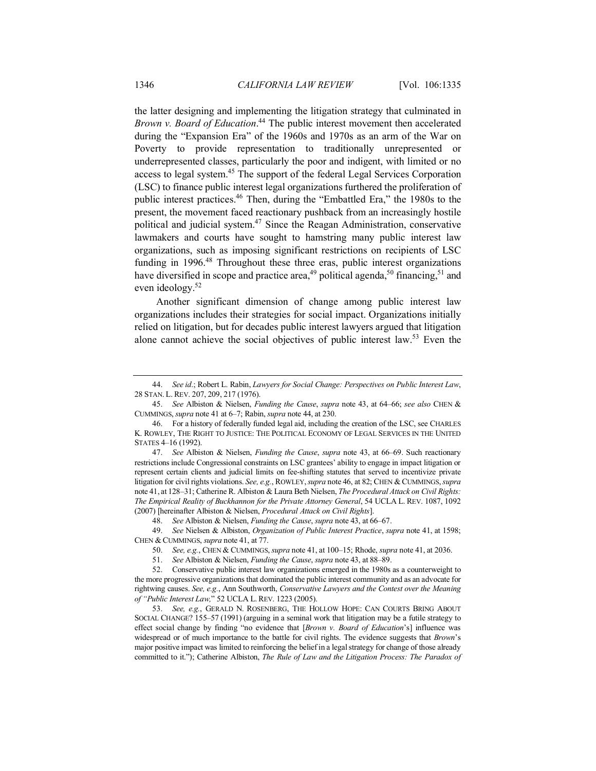the latter designing and implementing the litigation strategy that culminated in *Brown v. Board of Education*. <sup>44</sup> The public interest movement then accelerated during the "Expansion Era" of the 1960s and 1970s as an arm of the War on Poverty to provide representation to traditionally unrepresented or underrepresented classes, particularly the poor and indigent, with limited or no access to legal system.45 The support of the federal Legal Services Corporation (LSC) to finance public interest legal organizations furthered the proliferation of public interest practices.46 Then, during the "Embattled Era," the 1980s to the present, the movement faced reactionary pushback from an increasingly hostile political and judicial system.47 Since the Reagan Administration, conservative lawmakers and courts have sought to hamstring many public interest law organizations, such as imposing significant restrictions on recipients of LSC funding in 1996.<sup>48</sup> Throughout these three eras, public interest organizations have diversified in scope and practice area,<sup>49</sup> political agenda,<sup>50</sup> financing,<sup>51</sup> and even ideology.<sup>52</sup>

Another significant dimension of change among public interest law organizations includes their strategies for social impact. Organizations initially relied on litigation, but for decades public interest lawyers argued that litigation alone cannot achieve the social objectives of public interest law.53 Even the

<sup>44.</sup> *See id*.; Robert L. Rabin, *Lawyers for Social Change: Perspectives on Public Interest Law*, 28 STAN. L. REV. 207, 209, 217 (1976).

<sup>45.</sup> *See* Albiston & Nielsen, *Funding the Cause*, *supra* note 43, at 64–66; *see also* CHEN & CUMMINGS, *supra* note 41 at 6–7; Rabin, *supra* note 44, at 230.

<sup>46.</sup> For a history of federally funded legal aid, including the creation of the LSC, see CHARLES K. ROWLEY, THE RIGHT TO JUSTICE: THE POLITICAL ECONOMY OF LEGAL SERVICES IN THE UNITED STATES 4–16 (1992).

<sup>47.</sup> *See* Albiston & Nielsen, *Funding the Cause*, *supra* note 43, at 66–69. Such reactionary restrictions include Congressional constraints on LSC grantees' ability to engage in impact litigation or represent certain clients and judicial limits on fee-shifting statutes that served to incentivize private litigation for civil rights violations. *See, e.g.*, ROWLEY,*supra* note 46, at 82; CHEN & CUMMINGS, *supra* note 41, at 128–31; Catherine R. Albiston & Laura Beth Nielsen, *The Procedural Attack on Civil Rights: The Empirical Reality of Buckhannon for the Private Attorney General*, 54 UCLA L. REV. 1087, 1092 (2007) [hereinafter Albiston & Nielsen, *Procedural Attack on Civil Rights*].

<sup>48.</sup> *See* Albiston & Nielsen, *Funding the Cause*, *supra* note 43, at 66–67.

<sup>49.</sup> *See* Nielsen & Albiston, *Organization of Public Interest Practice*, *supra* note 41, at 1598; CHEN & CUMMINGS, *supra* note 41, at 77.

<sup>50.</sup> *See, e.g.*, CHEN & CUMMINGS, *supra* note 41, at 100–15; Rhode, *supra* note 41, at 2036.

<sup>51.</sup> *See* Albiston & Nielsen, *Funding the Cause*, *supra* note 43, at 88–89.

<sup>52.</sup> Conservative public interest law organizations emerged in the 1980s as a counterweight to the more progressive organizations that dominated the public interest community and as an advocate for rightwing causes. *See, e.g.*, Ann Southworth, *Conservative Lawyers and the Contest over the Meaning of "Public Interest Law,*" 52 UCLA L. REV. 1223 (2005).

<sup>53.</sup> *See, e.g.*, GERALD N. ROSENBERG, THE HOLLOW HOPE: CAN COURTS BRING ABOUT SOCIAL CHANGE? 155–57 (1991) (arguing in a seminal work that litigation may be a futile strategy to effect social change by finding "no evidence that [*Brown v. Board of Education*'s] influence was widespread or of much importance to the battle for civil rights. The evidence suggests that *Brown*'s major positive impact was limited to reinforcing the belief in a legal strategy for change of those already committed to it."); Catherine Albiston, *The Rule of Law and the Litigation Process: The Paradox of*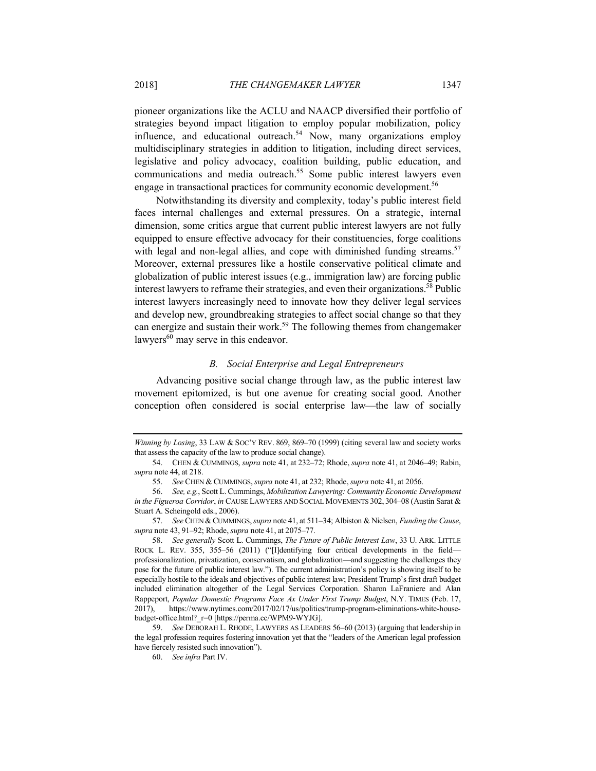pioneer organizations like the ACLU and NAACP diversified their portfolio of strategies beyond impact litigation to employ popular mobilization, policy influence, and educational outreach.<sup>54</sup> Now, many organizations employ multidisciplinary strategies in addition to litigation, including direct services, legislative and policy advocacy, coalition building, public education, and communications and media outreach.55 Some public interest lawyers even engage in transactional practices for community economic development.<sup>56</sup>

Notwithstanding its diversity and complexity, today's public interest field faces internal challenges and external pressures. On a strategic, internal dimension, some critics argue that current public interest lawyers are not fully equipped to ensure effective advocacy for their constituencies, forge coalitions with legal and non-legal allies, and cope with diminished funding streams.<sup>57</sup> Moreover, external pressures like a hostile conservative political climate and globalization of public interest issues (e.g., immigration law) are forcing public interest lawyers to reframe their strategies, and even their organizations.<sup>58</sup> Public interest lawyers increasingly need to innovate how they deliver legal services and develop new, groundbreaking strategies to affect social change so that they can energize and sustain their work.<sup>59</sup> The following themes from changemaker lawyers<sup>60</sup> may serve in this endeavor.

## *B. Social Enterprise and Legal Entrepreneurs*

Advancing positive social change through law, as the public interest law movement epitomized, is but one avenue for creating social good. Another conception often considered is social enterprise law—the law of socially

*Winning by Losing*, 33 LAW & SOC'Y REV. 869, 869–70 (1999) (citing several law and society works that assess the capacity of the law to produce social change).

<sup>54.</sup> CHEN & CUMMINGS, *supra* note 41, at 232–72; Rhode, *supra* note 41, at 2046–49; Rabin, *supra* note 44, at 218.

<sup>55.</sup> *See* CHEN & CUMMINGS, *supra* note 41, at 232; Rhode, *supra* note 41, at 2056.

<sup>56.</sup> *See, e.g.*, Scott L. Cummings, *Mobilization Lawyering: Community Economic Development in the Figueroa Corridor*, *in* CAUSE LAWYERS AND SOCIAL MOVEMENTS 302, 304–08 (Austin Sarat & Stuart A. Scheingold eds., 2006).

<sup>57.</sup> *See* CHEN & CUMMINGS, *supra* note 41, at 511–34; Albiston & Nielsen, *Funding the Cause*, *supra* note 43, 91–92; Rhode, *supra* note 41, at 2075–77.

<sup>58.</sup> *See generally* Scott L. Cummings, *The Future of Public Interest Law*, 33 U. ARK. LITTLE ROCK L. REV. 355, 355–56 (2011) ("[I]dentifying four critical developments in the field professionalization, privatization, conservatism, and globalization—and suggesting the challenges they pose for the future of public interest law."). The current administration's policy is showing itself to be especially hostile to the ideals and objectives of public interest law; President Trump's first draft budget included elimination altogether of the Legal Services Corporation. Sharon LaFraniere and Alan Rappeport, *Popular Domestic Programs Face Ax Under First Trump Budget*, N.Y. TIMES (Feb. 17, 2017), https://www.nytimes.com/2017/02/17/us/politics/trump-program-eliminations-white-housebudget-office.html?\_r=0 [https://perma.cc/WPM9-WYJG].

<sup>59.</sup> *See* DEBORAH L. RHODE, LAWYERS AS LEADERS 56–60 (2013) (arguing that leadership in the legal profession requires fostering innovation yet that the "leaders of the American legal profession have fiercely resisted such innovation").

<sup>60.</sup> *See infra* Part IV.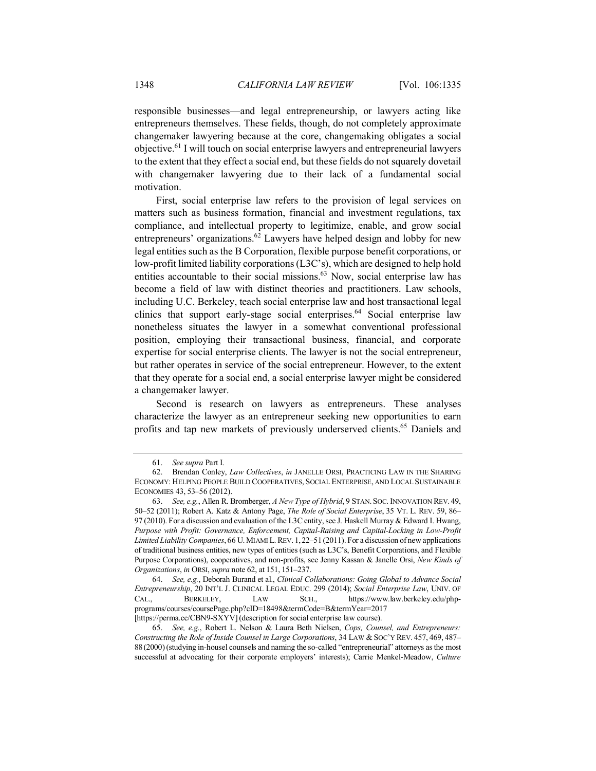responsible businesses—and legal entrepreneurship, or lawyers acting like entrepreneurs themselves. These fields, though, do not completely approximate changemaker lawyering because at the core, changemaking obligates a social objective.61 I will touch on social enterprise lawyers and entrepreneurial lawyers to the extent that they effect a social end, but these fields do not squarely dovetail with changemaker lawyering due to their lack of a fundamental social motivation.

First, social enterprise law refers to the provision of legal services on matters such as business formation, financial and investment regulations, tax compliance, and intellectual property to legitimize, enable, and grow social entrepreneurs' organizations.<sup>62</sup> Lawyers have helped design and lobby for new legal entities such as the B Corporation, flexible purpose benefit corporations, or low-profit limited liability corporations (L3C's), which are designed to help hold entities accountable to their social missions.<sup>63</sup> Now, social enterprise law has become a field of law with distinct theories and practitioners. Law schools, including U.C. Berkeley, teach social enterprise law and host transactional legal clinics that support early-stage social enterprises.<sup>64</sup> Social enterprise law nonetheless situates the lawyer in a somewhat conventional professional position, employing their transactional business, financial, and corporate expertise for social enterprise clients. The lawyer is not the social entrepreneur, but rather operates in service of the social entrepreneur. However, to the extent that they operate for a social end, a social enterprise lawyer might be considered a changemaker lawyer.

Second is research on lawyers as entrepreneurs. These analyses characterize the lawyer as an entrepreneur seeking new opportunities to earn profits and tap new markets of previously underserved clients.65 Daniels and

<sup>61.</sup> *See supra* Part I.

<sup>62.</sup> Brendan Conley, *Law Collectives*, *in* JANELLE ORSI, PRACTICING LAW IN THE SHARING ECONOMY: HELPING PEOPLE BUILD COOPERATIVES, SOCIAL ENTERPRISE, AND LOCAL SUSTAINABLE ECONOMIES 43, 53–56 (2012).

<sup>63.</sup> *See, e.g.*, Allen R. Bromberger, *A New Type of Hybrid*, 9 STAN. SOC. INNOVATION REV. 49, 50–52 (2011); Robert A. Katz & Antony Page, *The Role of Social Enterprise*, 35 VT. L. REV. 59, 86– 97 (2010). For a discussion and evaluation of the L3C entity, see J. Haskell Murray & Edward I. Hwang, *Purpose with Profit: Governance, Enforcement, Capital-Raising and Capital-Locking in Low-Profit Limited Liability Companies*, 66 U. MIAMI L. REV. 1,22–51 (2011). For a discussion of new applications of traditional business entities, new types of entities (such as L3C's, Benefit Corporations, and Flexible Purpose Corporations), cooperatives, and non-profits, see Jenny Kassan & Janelle Orsi, *New Kinds of Organizations*, *in* ORSI, *supra* note 62, at 151, 151–237.

<sup>64.</sup> *See, e.g.*, Deborah Burand et al., *Clinical Collaborations: Going Global to Advance Social Entrepreneurship*, 20 INT'L J. CLINICAL LEGAL EDUC. 299 (2014); *Social Enterprise Law*, UNIV. OF CAL., BERKELEY, LAW SCH., https://www.law.berkeley.edu/phpprograms/courses/coursePage.php?cID=18498&termCode=B&termYear=2017 [https://perma.cc/CBN9-SXYV] (description for social enterprise law course).

<sup>65.</sup> *See, e.g.*, Robert L. Nelson & Laura Beth Nielsen, *Cops, Counsel, and Entrepreneurs: Constructing the Role of Inside Counsel in Large Corporations*, 34 LAW & SOC'Y REV. 457, 469, 487– 88 (2000)(studying in-housel counsels and naming the so-called "entrepreneurial" attorneys as the most successful at advocating for their corporate employers' interests); Carrie Menkel-Meadow, *Culture*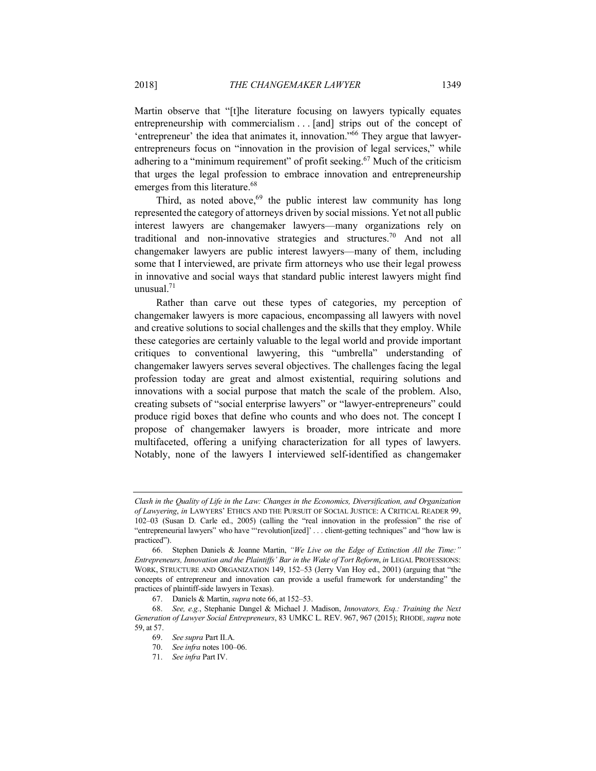Martin observe that "[t]he literature focusing on lawyers typically equates entrepreneurship with commercialism . . . [and] strips out of the concept of 'entrepreneur' the idea that animates it, innovation." $\frac{6}{6}$  They argue that lawyerentrepreneurs focus on "innovation in the provision of legal services," while adhering to a "minimum requirement" of profit seeking.<sup>67</sup> Much of the criticism that urges the legal profession to embrace innovation and entrepreneurship emerges from this literature.<sup>68</sup>

Third, as noted above,  $69$  the public interest law community has long represented the category of attorneys driven by social missions. Yet not all public interest lawyers are changemaker lawyers—many organizations rely on traditional and non-innovative strategies and structures.70 And not all changemaker lawyers are public interest lawyers—many of them, including some that I interviewed, are private firm attorneys who use their legal prowess in innovative and social ways that standard public interest lawyers might find unusual.71

Rather than carve out these types of categories, my perception of changemaker lawyers is more capacious, encompassing all lawyers with novel and creative solutions to social challenges and the skills that they employ. While these categories are certainly valuable to the legal world and provide important critiques to conventional lawyering, this "umbrella" understanding of changemaker lawyers serves several objectives. The challenges facing the legal profession today are great and almost existential, requiring solutions and innovations with a social purpose that match the scale of the problem. Also, creating subsets of "social enterprise lawyers" or "lawyer-entrepreneurs" could produce rigid boxes that define who counts and who does not. The concept I propose of changemaker lawyers is broader, more intricate and more multifaceted, offering a unifying characterization for all types of lawyers. Notably, none of the lawyers I interviewed self-identified as changemaker

*Clash in the Quality of Life in the Law: Changes in the Economics, Diversification, and Organization of Lawyering*, *in* LAWYERS' ETHICS AND THE PURSUIT OF SOCIAL JUSTICE: A CRITICAL READER 99, 102–03 (Susan D. Carle ed., 2005) (calling the "real innovation in the profession" the rise of "entrepreneurial lawyers" who have "'revolution[ized]' . . . client-getting techniques" and "how law is practiced").

<sup>66.</sup> Stephen Daniels & Joanne Martin, *"We Live on the Edge of Extinction All the Time:" Entrepreneurs, Innovation and the Plaintiffs' Bar in the Wake of Tort Reform*, *in* LEGAL PROFESSIONS: WORK, STRUCTURE AND ORGANIZATION 149, 152–53 (Jerry Van Hoy ed., 2001) (arguing that "the concepts of entrepreneur and innovation can provide a useful framework for understanding" the practices of plaintiff-side lawyers in Texas).

<sup>67.</sup> Daniels & Martin, *supra* note 66, at 152–53.

<sup>68.</sup> *See, e.g.*, Stephanie Dangel & Michael J. Madison, *Innovators, Esq.: Training the Next Generation of Lawyer Social Entrepreneurs*, 83 UMKC L. REV. 967, 967 (2015); RHODE*,supra* note 59, at 57.

<sup>69.</sup> *See supra* Part II.A.

<sup>70.</sup> *See infra* notes 100–06.

<sup>71.</sup> *See infra* Part IV.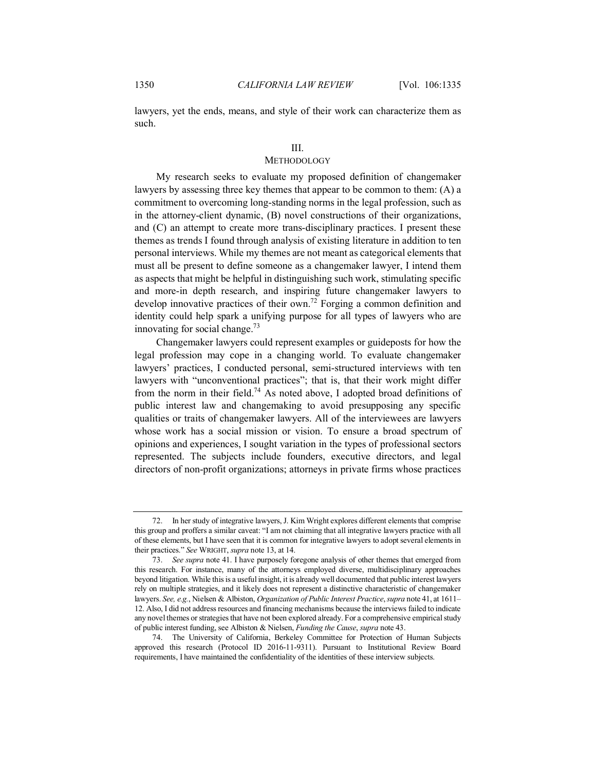lawyers, yet the ends, means, and style of their work can characterize them as such.

### III.

# **METHODOLOGY**

My research seeks to evaluate my proposed definition of changemaker lawyers by assessing three key themes that appear to be common to them: (A) a commitment to overcoming long-standing norms in the legal profession, such as in the attorney-client dynamic, (B) novel constructions of their organizations, and (C) an attempt to create more trans-disciplinary practices. I present these themes as trends I found through analysis of existing literature in addition to ten personal interviews. While my themes are not meant as categorical elements that must all be present to define someone as a changemaker lawyer, I intend them as aspects that might be helpful in distinguishing such work, stimulating specific and more-in depth research, and inspiring future changemaker lawyers to develop innovative practices of their own.72 Forging a common definition and identity could help spark a unifying purpose for all types of lawyers who are innovating for social change.<sup>73</sup>

Changemaker lawyers could represent examples or guideposts for how the legal profession may cope in a changing world. To evaluate changemaker lawyers' practices, I conducted personal, semi-structured interviews with ten lawyers with "unconventional practices"; that is, that their work might differ from the norm in their field.<sup>74</sup> As noted above, I adopted broad definitions of public interest law and changemaking to avoid presupposing any specific qualities or traits of changemaker lawyers. All of the interviewees are lawyers whose work has a social mission or vision. To ensure a broad spectrum of opinions and experiences, I sought variation in the types of professional sectors represented. The subjects include founders, executive directors, and legal directors of non-profit organizations; attorneys in private firms whose practices

<sup>72.</sup> In her study of integrative lawyers, J. Kim Wright explores different elements that comprise this group and proffers a similar caveat: "I am not claiming that all integrative lawyers practice with all of these elements, but I have seen that it is common for integrative lawyers to adopt several elements in their practices." *See* WRIGHT, *supra* note 13, at 14.

<sup>73.</sup> *See supra* note 41. I have purposely foregone analysis of other themes that emerged from this research. For instance, many of the attorneys employed diverse, multidisciplinary approaches beyond litigation. While this is a useful insight, it is already well documented that public interest lawyers rely on multiple strategies, and it likely does not represent a distinctive characteristic of changemaker lawyers. *See, e.g.*, Nielsen & Albiston, *Organization of Public Interest Practice*, *supra* note 41, at 1611– 12. Also, I did not address resources and financing mechanisms because the interviews failed to indicate any novel themes or strategies that have not been explored already. For a comprehensive empirical study of public interest funding, see Albiston & Nielsen, *Funding the Cause*, *supra* note 43.

<sup>74.</sup> The University of California, Berkeley Committee for Protection of Human Subjects approved this research (Protocol ID 2016-11-9311). Pursuant to Institutional Review Board requirements, I have maintained the confidentiality of the identities of these interview subjects.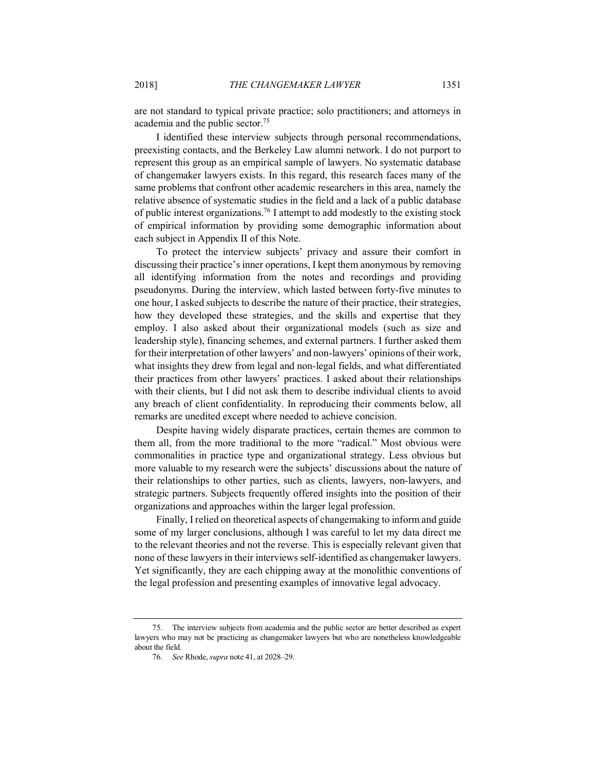I identified these interview subjects through personal recommendations, preexisting contacts, and the Berkeley Law alumni network. I do not purport to represent this group as an empirical sample of lawyers. No systematic database of changemaker lawyers exists. In this regard, this research faces many of the same problems that confront other academic researchers in this area, namely the relative absence of systematic studies in the field and a lack of a public database of public interest organizations.76 I attempt to add modestly to the existing stock of empirical information by providing some demographic information about each subject in Appendix II of this Note.

To protect the interview subjects' privacy and assure their comfort in discussing their practice's inner operations, I kept them anonymous by removing all identifying information from the notes and recordings and providing pseudonyms. During the interview, which lasted between forty-five minutes to one hour, I asked subjects to describe the nature of their practice, their strategies, how they developed these strategies, and the skills and expertise that they employ. I also asked about their organizational models (such as size and leadership style), financing schemes, and external partners. I further asked them for their interpretation of other lawyers' and non-lawyers' opinions of their work, what insights they drew from legal and non-legal fields, and what differentiated their practices from other lawyers' practices. I asked about their relationships with their clients, but I did not ask them to describe individual clients to avoid any breach of client confidentiality. In reproducing their comments below, all remarks are unedited except where needed to achieve concision.

Despite having widely disparate practices, certain themes are common to them all, from the more traditional to the more "radical." Most obvious were commonalities in practice type and organizational strategy. Less obvious but more valuable to my research were the subjects' discussions about the nature of their relationships to other parties, such as clients, lawyers, non-lawyers, and strategic partners. Subjects frequently offered insights into the position of their organizations and approaches within the larger legal profession.

Finally, I relied on theoretical aspects of changemaking to inform and guide some of my larger conclusions, although I was careful to let my data direct me to the relevant theories and not the reverse. This is especially relevant given that none of these lawyers in their interviews self-identified as changemaker lawyers. Yet significantly, they are each chipping away at the monolithic conventions of the legal profession and presenting examples of innovative legal advocacy.

<sup>75.</sup> The interview subjects from academia and the public sector are better described as expert lawyers who may not be practicing as changemaker lawyers but who are nonetheless knowledgeable about the field.

<sup>76.</sup> *See* Rhode, *supra* note 41, at 2028–29.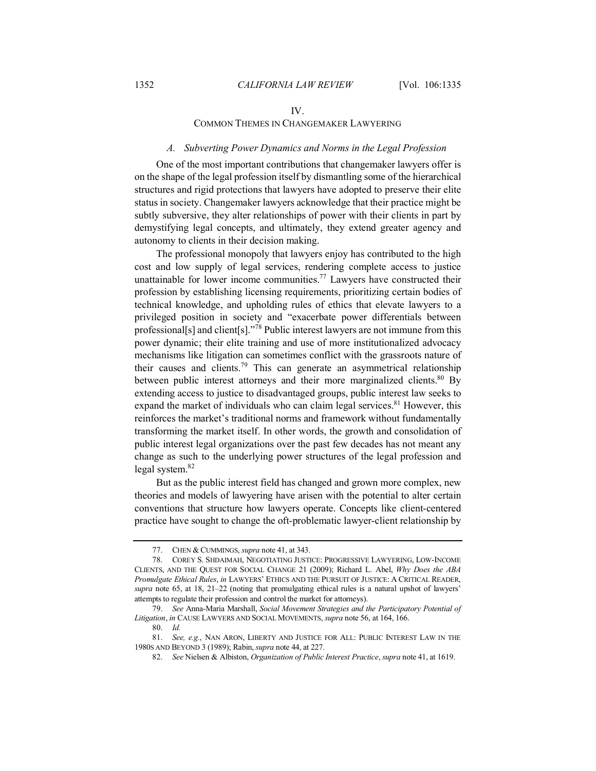#### IV.

# COMMON THEMES IN CHANGEMAKER LAWYERING

## *A. Subverting Power Dynamics and Norms in the Legal Profession*

One of the most important contributions that changemaker lawyers offer is on the shape of the legal profession itself by dismantling some of the hierarchical structures and rigid protections that lawyers have adopted to preserve their elite status in society. Changemaker lawyers acknowledge that their practice might be subtly subversive, they alter relationships of power with their clients in part by demystifying legal concepts, and ultimately, they extend greater agency and autonomy to clients in their decision making.

The professional monopoly that lawyers enjoy has contributed to the high cost and low supply of legal services, rendering complete access to justice unattainable for lower income communities.<sup>77</sup> Lawyers have constructed their profession by establishing licensing requirements, prioritizing certain bodies of technical knowledge, and upholding rules of ethics that elevate lawyers to a privileged position in society and "exacerbate power differentials between professional[s] and client[s]."<sup>78</sup> Public interest lawyers are not immune from this power dynamic; their elite training and use of more institutionalized advocacy mechanisms like litigation can sometimes conflict with the grassroots nature of their causes and clients.<sup>79</sup> This can generate an asymmetrical relationship between public interest attorneys and their more marginalized clients.<sup>80</sup> By extending access to justice to disadvantaged groups, public interest law seeks to expand the market of individuals who can claim legal services.<sup>81</sup> However, this reinforces the market's traditional norms and framework without fundamentally transforming the market itself. In other words, the growth and consolidation of public interest legal organizations over the past few decades has not meant any change as such to the underlying power structures of the legal profession and legal system.<sup>82</sup>

But as the public interest field has changed and grown more complex, new theories and models of lawyering have arisen with the potential to alter certain conventions that structure how lawyers operate. Concepts like client-centered practice have sought to change the oft-problematic lawyer-client relationship by

<sup>77.</sup> CHEN & CUMMINGS, *supra* note 41, at 343.

<sup>78.</sup> COREY S. SHDAIMAH, NEGOTIATING JUSTICE: PROGRESSIVE LAWYERING, LOW-INCOME CLIENTS, AND THE QUEST FOR SOCIAL CHANGE 21 (2009); Richard L. Abel, *Why Does the ABA Promulgate Ethical Rules*, *in* LAWYERS' ETHICS AND THE PURSUIT OF JUSTICE: A CRITICAL READER, *supra* note 65, at 18, 21–22 (noting that promulgating ethical rules is a natural upshot of lawyers' attempts to regulate their profession and control the market for attorneys).

<sup>79.</sup> *See* Anna-Maria Marshall, *Social Movement Strategies and the Participatory Potential of Litigation*, *in* CAUSE LAWYERS AND SOCIAL MOVEMENTS, *supra* note 56, at 164, 166.

<sup>80.</sup> *Id.*

<sup>81.</sup> *See, e.g.*, NAN ARON, LIBERTY AND JUSTICE FOR ALL: PUBLIC INTEREST LAW IN THE 1980S AND BEYOND 3 (1989); Rabin, *supra* note 44, at 227.

<sup>82.</sup> *See* Nielsen & Albiston, *Organization of Public Interest Practice*, *supra* note 41, at 1619.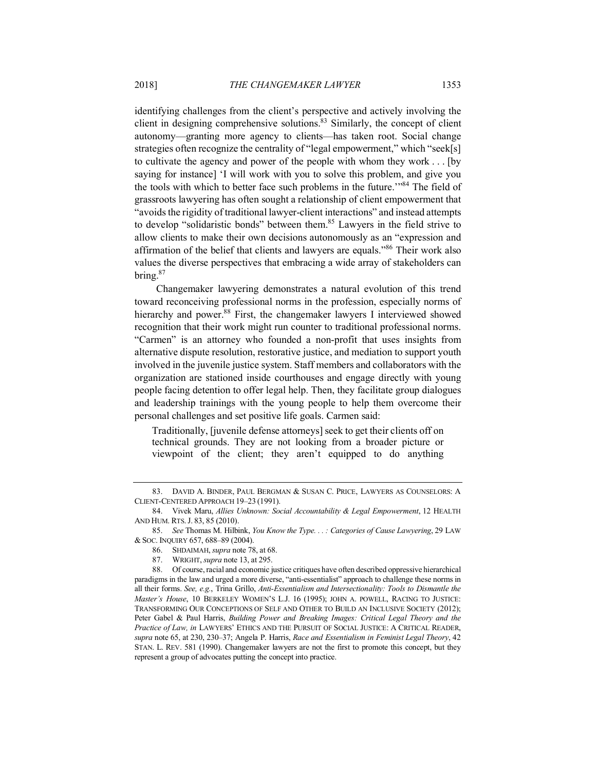identifying challenges from the client's perspective and actively involving the client in designing comprehensive solutions.<sup>83</sup> Similarly, the concept of client autonomy—granting more agency to clients—has taken root. Social change strategies often recognize the centrality of "legal empowerment," which "seek[s] to cultivate the agency and power of the people with whom they work . . . [by saying for instance] 'I will work with you to solve this problem, and give you the tools with which to better face such problems in the future.'"84 The field of grassroots lawyering has often sought a relationship of client empowerment that "avoids the rigidity of traditional lawyer-client interactions" and instead attempts to develop "solidaristic bonds" between them.85 Lawyers in the field strive to allow clients to make their own decisions autonomously as an "expression and affirmation of the belief that clients and lawyers are equals."<sup>86</sup> Their work also values the diverse perspectives that embracing a wide array of stakeholders can bring.87

Changemaker lawyering demonstrates a natural evolution of this trend toward reconceiving professional norms in the profession, especially norms of hierarchy and power.<sup>88</sup> First, the changemaker lawyers I interviewed showed recognition that their work might run counter to traditional professional norms. "Carmen" is an attorney who founded a non-profit that uses insights from alternative dispute resolution, restorative justice, and mediation to support youth involved in the juvenile justice system. Staff members and collaborators with the organization are stationed inside courthouses and engage directly with young people facing detention to offer legal help. Then, they facilitate group dialogues and leadership trainings with the young people to help them overcome their personal challenges and set positive life goals. Carmen said:

Traditionally, [juvenile defense attorneys] seek to get their clients off on technical grounds. They are not looking from a broader picture or viewpoint of the client; they aren't equipped to do anything

87. WRIGHT, *supra* note 13, at 295.

<sup>83.</sup> DAVID A. BINDER, PAUL BERGMAN & SUSAN C. PRICE, LAWYERS AS COUNSELORS: A CLIENT-CENTERED APPROACH 19–23 (1991).

<sup>84.</sup> Vivek Maru, *Allies Unknown: Social Accountability & Legal Empowerment*, 12 HEALTH AND HUM. RTS.J. 83, 85 (2010).

<sup>85.</sup> *See* Thomas M. Hilbink, *You Know the Type. . . : Categories of Cause Lawyering*, 29 LAW & SOC. INQUIRY 657, 688–89 (2004).

<sup>86.</sup> SHDAIMAH, *supra* note 78, at 68.<br>87. WRIGHT, *supra* note 13, at 295.

<sup>88.</sup> Of course, racial and economic justice critiques have often described oppressive hierarchical paradigms in the law and urged a more diverse, "anti-essentialist" approach to challenge these norms in all their forms. *See, e.g.*, Trina Grillo, *Anti-Essentialism and Intersectionality: Tools to Dismantle the Master's House*, 10 BERKELEY WOMEN'S L.J. 16 (1995); JOHN A. POWELL, RACING TO JUSTICE: TRANSFORMING OUR CONCEPTIONS OF SELF AND OTHER TO BUILD AN INCLUSIVE SOCIETY (2012); Peter Gabel & Paul Harris, *Building Power and Breaking Images: Critical Legal Theory and the Practice of Law, in* LAWYERS' ETHICS AND THE PURSUIT OF SOCIAL JUSTICE: A CRITICAL READER, *supra* note 65, at 230, 230–37; Angela P. Harris, *Race and Essentialism in Feminist Legal Theory*, 42 STAN. L. REV. 581 (1990). Changemaker lawyers are not the first to promote this concept, but they represent a group of advocates putting the concept into practice.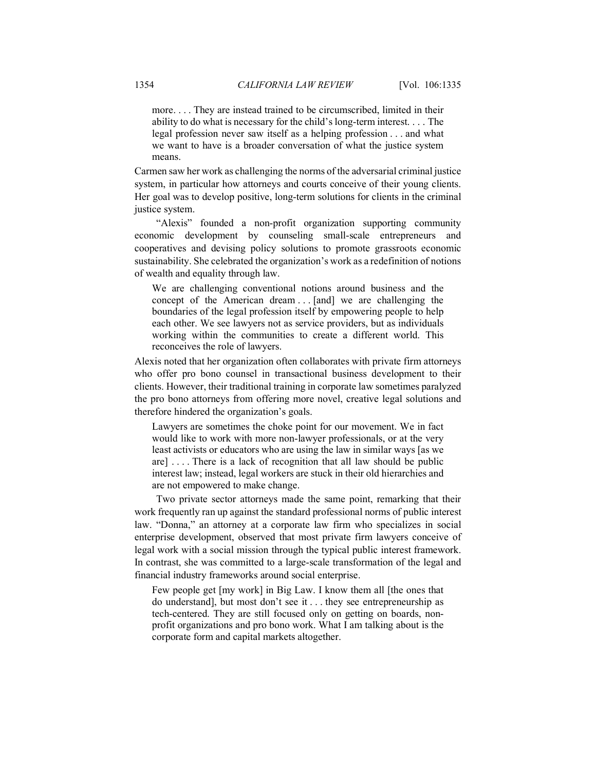more. . . . They are instead trained to be circumscribed, limited in their ability to do what is necessary for the child's long-term interest. . . . The legal profession never saw itself as a helping profession . . . and what we want to have is a broader conversation of what the justice system means.

Carmen saw her work as challenging the norms of the adversarial criminal justice system, in particular how attorneys and courts conceive of their young clients. Her goal was to develop positive, long-term solutions for clients in the criminal justice system.

"Alexis" founded a non-profit organization supporting community economic development by counseling small-scale entrepreneurs and cooperatives and devising policy solutions to promote grassroots economic sustainability. She celebrated the organization's work as a redefinition of notions of wealth and equality through law.

We are challenging conventional notions around business and the concept of the American dream . . . [and] we are challenging the boundaries of the legal profession itself by empowering people to help each other. We see lawyers not as service providers, but as individuals working within the communities to create a different world. This reconceives the role of lawyers.

Alexis noted that her organization often collaborates with private firm attorneys who offer pro bono counsel in transactional business development to their clients. However, their traditional training in corporate law sometimes paralyzed the pro bono attorneys from offering more novel, creative legal solutions and therefore hindered the organization's goals.

Lawyers are sometimes the choke point for our movement. We in fact would like to work with more non-lawyer professionals, or at the very least activists or educators who are using the law in similar ways [as we are]  $\dots$ . There is a lack of recognition that all law should be public interest law; instead, legal workers are stuck in their old hierarchies and are not empowered to make change.

Two private sector attorneys made the same point, remarking that their work frequently ran up against the standard professional norms of public interest law. "Donna," an attorney at a corporate law firm who specializes in social enterprise development, observed that most private firm lawyers conceive of legal work with a social mission through the typical public interest framework. In contrast, she was committed to a large-scale transformation of the legal and financial industry frameworks around social enterprise.

Few people get [my work] in Big Law. I know them all [the ones that do understand], but most don't see it . . . they see entrepreneurship as tech-centered. They are still focused only on getting on boards, nonprofit organizations and pro bono work. What I am talking about is the corporate form and capital markets altogether.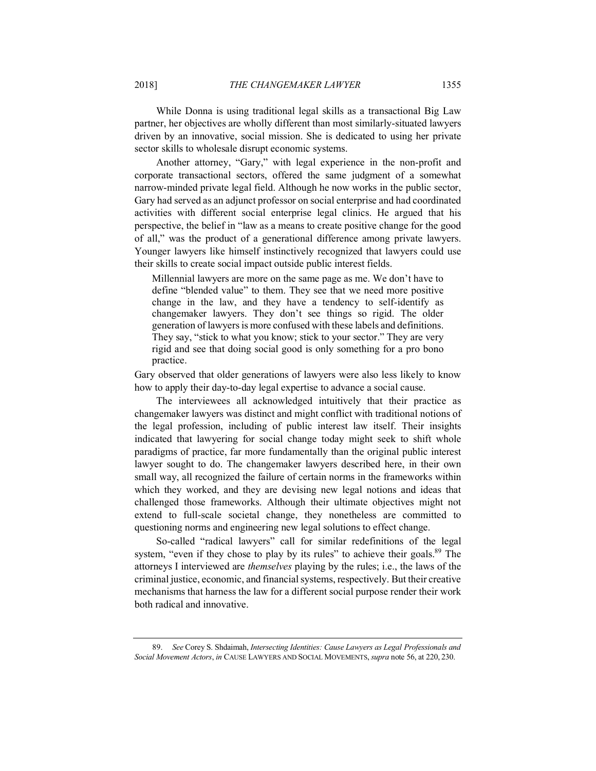While Donna is using traditional legal skills as a transactional Big Law partner, her objectives are wholly different than most similarly-situated lawyers driven by an innovative, social mission. She is dedicated to using her private sector skills to wholesale disrupt economic systems.

Another attorney, "Gary," with legal experience in the non-profit and corporate transactional sectors, offered the same judgment of a somewhat narrow-minded private legal field. Although he now works in the public sector, Gary had served as an adjunct professor on social enterprise and had coordinated activities with different social enterprise legal clinics. He argued that his perspective, the belief in "law as a means to create positive change for the good of all," was the product of a generational difference among private lawyers. Younger lawyers like himself instinctively recognized that lawyers could use their skills to create social impact outside public interest fields.

Millennial lawyers are more on the same page as me. We don't have to define "blended value" to them. They see that we need more positive change in the law, and they have a tendency to self-identify as changemaker lawyers. They don't see things so rigid. The older generation of lawyers is more confused with these labels and definitions. They say, "stick to what you know; stick to your sector." They are very rigid and see that doing social good is only something for a pro bono practice.

Gary observed that older generations of lawyers were also less likely to know how to apply their day-to-day legal expertise to advance a social cause.

The interviewees all acknowledged intuitively that their practice as changemaker lawyers was distinct and might conflict with traditional notions of the legal profession, including of public interest law itself. Their insights indicated that lawyering for social change today might seek to shift whole paradigms of practice, far more fundamentally than the original public interest lawyer sought to do. The changemaker lawyers described here, in their own small way, all recognized the failure of certain norms in the frameworks within which they worked, and they are devising new legal notions and ideas that challenged those frameworks. Although their ultimate objectives might not extend to full-scale societal change, they nonetheless are committed to questioning norms and engineering new legal solutions to effect change.

So-called "radical lawyers" call for similar redefinitions of the legal system, "even if they chose to play by its rules" to achieve their goals.<sup>89</sup> The attorneys I interviewed are *themselves* playing by the rules; i.e., the laws of the criminal justice, economic, and financial systems, respectively. But their creative mechanisms that harness the law for a different social purpose render their work both radical and innovative.

<sup>89.</sup> *See* Corey S. Shdaimah, *Intersecting Identities: Cause Lawyers as Legal Professionals and Social Movement Actors*, *in* CAUSE LAWYERS AND SOCIAL MOVEMENTS, *supra* note 56, at 220, 230.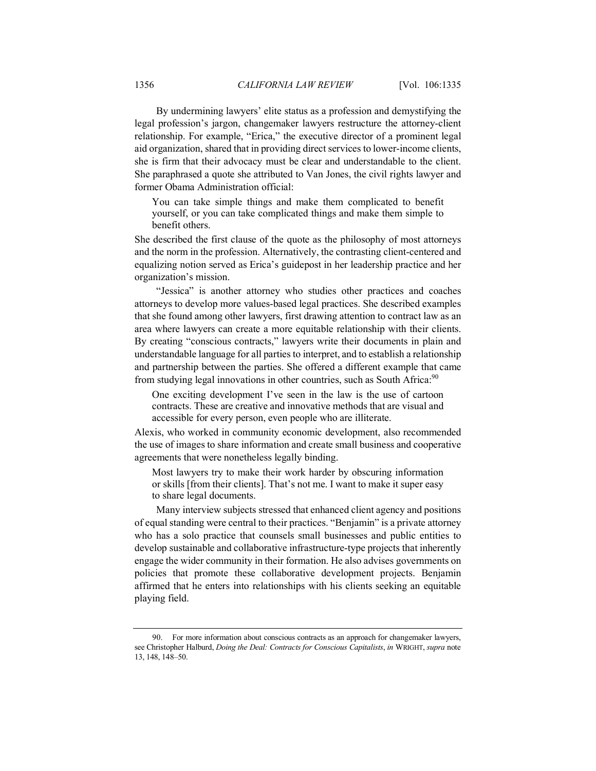By undermining lawyers' elite status as a profession and demystifying the legal profession's jargon, changemaker lawyers restructure the attorney-client relationship. For example, "Erica," the executive director of a prominent legal aid organization, shared that in providing direct services to lower-income clients, she is firm that their advocacy must be clear and understandable to the client. She paraphrased a quote she attributed to Van Jones, the civil rights lawyer and former Obama Administration official:

You can take simple things and make them complicated to benefit yourself, or you can take complicated things and make them simple to benefit others.

She described the first clause of the quote as the philosophy of most attorneys and the norm in the profession. Alternatively, the contrasting client-centered and equalizing notion served as Erica's guidepost in her leadership practice and her organization's mission.

"Jessica" is another attorney who studies other practices and coaches attorneys to develop more values-based legal practices. She described examples that she found among other lawyers, first drawing attention to contract law as an area where lawyers can create a more equitable relationship with their clients. By creating "conscious contracts," lawyers write their documents in plain and understandable language for all parties to interpret, and to establish a relationship and partnership between the parties. She offered a different example that came from studying legal innovations in other countries, such as South Africa:<sup>90</sup>

One exciting development I've seen in the law is the use of cartoon contracts. These are creative and innovative methods that are visual and accessible for every person, even people who are illiterate.

Alexis, who worked in community economic development, also recommended the use of images to share information and create small business and cooperative agreements that were nonetheless legally binding.

Most lawyers try to make their work harder by obscuring information or skills [from their clients]. That's not me. I want to make it super easy to share legal documents.

Many interview subjects stressed that enhanced client agency and positions of equal standing were central to their practices. "Benjamin" is a private attorney who has a solo practice that counsels small businesses and public entities to develop sustainable and collaborative infrastructure-type projects that inherently engage the wider community in their formation. He also advises governments on policies that promote these collaborative development projects. Benjamin affirmed that he enters into relationships with his clients seeking an equitable playing field.

For more information about conscious contracts as an approach for changemaker lawyers, see Christopher Halburd, *Doing the Deal: Contracts for Conscious Capitalists*, *in* WRIGHT, *supra* note 13, 148, 148–50.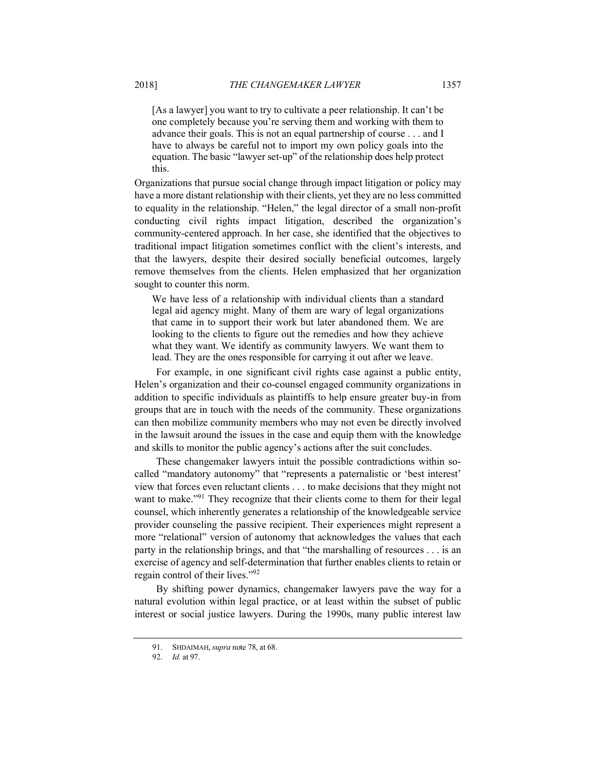[As a lawyer] you want to try to cultivate a peer relationship. It can't be one completely because you're serving them and working with them to advance their goals. This is not an equal partnership of course . . . and I have to always be careful not to import my own policy goals into the equation. The basic "lawyer set-up" of the relationship does help protect this.

Organizations that pursue social change through impact litigation or policy may have a more distant relationship with their clients, yet they are no less committed to equality in the relationship. "Helen," the legal director of a small non-profit conducting civil rights impact litigation, described the organization's community-centered approach. In her case, she identified that the objectives to traditional impact litigation sometimes conflict with the client's interests, and that the lawyers, despite their desired socially beneficial outcomes, largely remove themselves from the clients. Helen emphasized that her organization sought to counter this norm.

We have less of a relationship with individual clients than a standard legal aid agency might. Many of them are wary of legal organizations that came in to support their work but later abandoned them. We are looking to the clients to figure out the remedies and how they achieve what they want. We identify as community lawyers. We want them to lead. They are the ones responsible for carrying it out after we leave.

For example, in one significant civil rights case against a public entity, Helen's organization and their co-counsel engaged community organizations in addition to specific individuals as plaintiffs to help ensure greater buy-in from groups that are in touch with the needs of the community. These organizations can then mobilize community members who may not even be directly involved in the lawsuit around the issues in the case and equip them with the knowledge and skills to monitor the public agency's actions after the suit concludes.

These changemaker lawyers intuit the possible contradictions within socalled "mandatory autonomy" that "represents a paternalistic or 'best interest' view that forces even reluctant clients . . . to make decisions that they might not want to make.<sup>"91</sup> They recognize that their clients come to them for their legal counsel, which inherently generates a relationship of the knowledgeable service provider counseling the passive recipient. Their experiences might represent a more "relational" version of autonomy that acknowledges the values that each party in the relationship brings, and that "the marshalling of resources . . . is an exercise of agency and self-determination that further enables clients to retain or regain control of their lives."92

By shifting power dynamics, changemaker lawyers pave the way for a natural evolution within legal practice, or at least within the subset of public interest or social justice lawyers. During the 1990s, many public interest law

<sup>91.</sup> SHDAIMAH, *supra* note 78, at 68.

<sup>92.</sup> *Id.* at 97.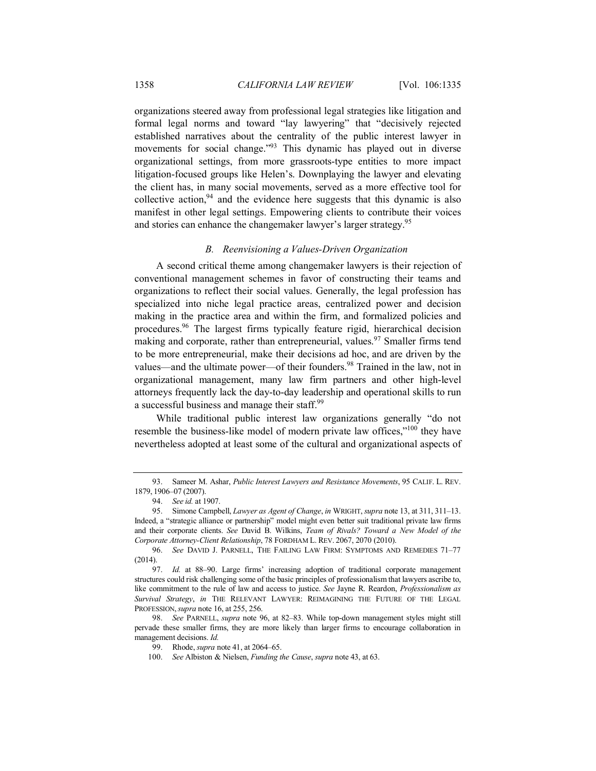organizations steered away from professional legal strategies like litigation and formal legal norms and toward "lay lawyering" that "decisively rejected established narratives about the centrality of the public interest lawyer in movements for social change."<sup>93</sup> This dynamic has played out in diverse organizational settings, from more grassroots-type entities to more impact litigation-focused groups like Helen's. Downplaying the lawyer and elevating the client has, in many social movements, served as a more effective tool for collective action,  $94$  and the evidence here suggests that this dynamic is also manifest in other legal settings. Empowering clients to contribute their voices and stories can enhance the changemaker lawyer's larger strategy.<sup>95</sup>

## *B. Reenvisioning a Values-Driven Organization*

A second critical theme among changemaker lawyers is their rejection of conventional management schemes in favor of constructing their teams and organizations to reflect their social values. Generally, the legal profession has specialized into niche legal practice areas, centralized power and decision making in the practice area and within the firm, and formalized policies and procedures.96 The largest firms typically feature rigid, hierarchical decision making and corporate, rather than entrepreneurial, values.<sup>97</sup> Smaller firms tend to be more entrepreneurial, make their decisions ad hoc, and are driven by the values—and the ultimate power—of their founders.<sup>98</sup> Trained in the law, not in organizational management, many law firm partners and other high-level attorneys frequently lack the day-to-day leadership and operational skills to run a successful business and manage their staff.<sup>99</sup>

While traditional public interest law organizations generally "do not resemble the business-like model of modern private law offices,"100 they have nevertheless adopted at least some of the cultural and organizational aspects of

<sup>93.</sup> Sameer M. Ashar, *Public Interest Lawyers and Resistance Movements*, 95 CALIF. L. REV. 1879, 1906–07 (2007).

<sup>94.</sup> *See id.* at 1907.

<sup>95.</sup> Simone Campbell, *Lawyer as Agent of Change*, *in* WRIGHT, *supra* note 13, at 311, 311–13. Indeed, a "strategic alliance or partnership" model might even better suit traditional private law firms and their corporate clients. *See* David B. Wilkins, *Team of Rivals? Toward a New Model of the Corporate Attorney-Client Relationship*, 78 FORDHAM L. REV. 2067, 2070 (2010).

<sup>96.</sup> *See* DAVID J. PARNELL, THE FAILING LAW FIRM: SYMPTOMS AND REMEDIES 71–77 (2014).

<sup>97.</sup> *Id.* at 88–90. Large firms' increasing adoption of traditional corporate management structures could risk challenging some of the basic principles of professionalism that lawyers ascribe to, like commitment to the rule of law and access to justice. *See* Jayne R. Reardon, *Professionalism as Survival Strategy*, *in* THE RELEVANT LAWYER: REIMAGINING THE FUTURE OF THE LEGAL PROFESSION,*supra* note 16, at 255, 256.

<sup>98.</sup> *See* PARNELL, *supra* note 96, at 82–83. While top-down management styles might still pervade these smaller firms, they are more likely than larger firms to encourage collaboration in management decisions. *Id.*

<sup>99.</sup> Rhode, *supra* note 41, at 2064–65.

<sup>100.</sup> *See* Albiston & Nielsen, *Funding the Cause*, *supra* note 43, at 63.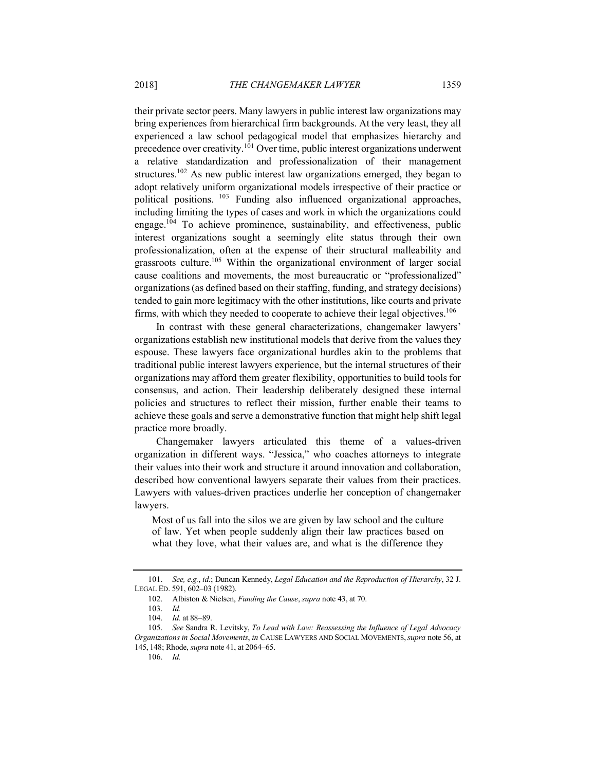their private sector peers. Many lawyers in public interest law organizations may bring experiences from hierarchical firm backgrounds. At the very least, they all experienced a law school pedagogical model that emphasizes hierarchy and precedence over creativity.<sup>101</sup> Over time, public interest organizations underwent a relative standardization and professionalization of their management structures.<sup>102</sup> As new public interest law organizations emerged, they began to adopt relatively uniform organizational models irrespective of their practice or political positions. <sup>103</sup> Funding also influenced organizational approaches, including limiting the types of cases and work in which the organizations could engage.<sup>104</sup> To achieve prominence, sustainability, and effectiveness, public interest organizations sought a seemingly elite status through their own professionalization, often at the expense of their structural malleability and grassroots culture.105 Within the organizational environment of larger social cause coalitions and movements, the most bureaucratic or "professionalized" organizations (as defined based on their staffing, funding, and strategy decisions) tended to gain more legitimacy with the other institutions, like courts and private firms, with which they needed to cooperate to achieve their legal objectives.<sup>106</sup>

In contrast with these general characterizations, changemaker lawyers' organizations establish new institutional models that derive from the values they espouse. These lawyers face organizational hurdles akin to the problems that traditional public interest lawyers experience, but the internal structures of their organizations may afford them greater flexibility, opportunities to build tools for consensus, and action. Their leadership deliberately designed these internal policies and structures to reflect their mission, further enable their teams to achieve these goals and serve a demonstrative function that might help shift legal practice more broadly.

Changemaker lawyers articulated this theme of a values-driven organization in different ways. "Jessica," who coaches attorneys to integrate their values into their work and structure it around innovation and collaboration, described how conventional lawyers separate their values from their practices. Lawyers with values-driven practices underlie her conception of changemaker lawyers.

Most of us fall into the silos we are given by law school and the culture of law. Yet when people suddenly align their law practices based on what they love, what their values are, and what is the difference they

<sup>101.</sup> *See, e.g.*, *id.*; Duncan Kennedy, *Legal Education and the Reproduction of Hierarchy*, 32 J. LEGAL ED. 591, 602–03 (1982).

<sup>102.</sup> Albiston & Nielsen, *Funding the Cause*, *supra* note 43, at 70.

<sup>103.</sup> *Id.*

<sup>104.</sup> *Id.* at 88–89.

<sup>105.</sup> *See* Sandra R. Levitsky, *To Lead with Law: Reassessing the Influence of Legal Advocacy Organizations in Social Movements*, *in* CAUSE LAWYERS AND SOCIAL MOVEMENTS,*supra* note 56, at 145, 148; Rhode, *supra* note 41, at 2064–65.

<sup>106.</sup> *Id.*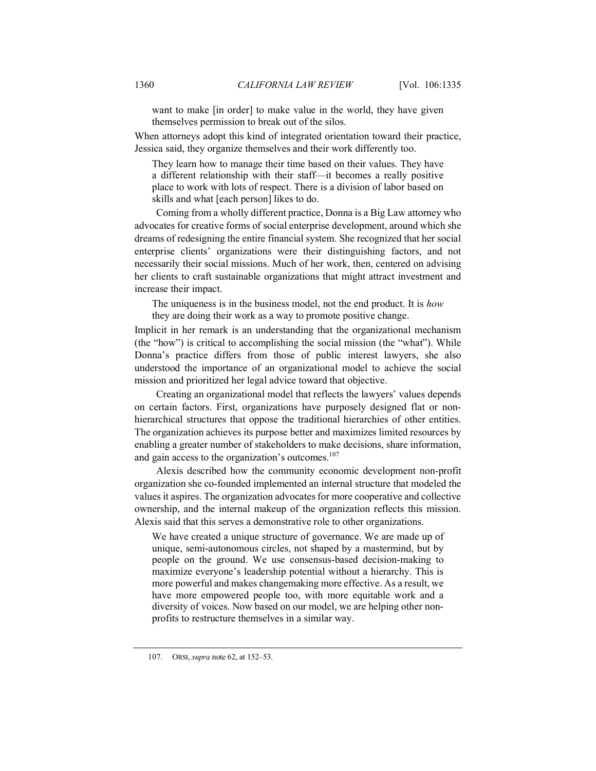want to make [in order] to make value in the world, they have given themselves permission to break out of the silos.

When attorneys adopt this kind of integrated orientation toward their practice, Jessica said, they organize themselves and their work differently too.

They learn how to manage their time based on their values. They have a different relationship with their staff—it becomes a really positive place to work with lots of respect. There is a division of labor based on skills and what [each person] likes to do.

Coming from a wholly different practice, Donna is a Big Law attorney who advocates for creative forms of social enterprise development, around which she dreams of redesigning the entire financial system. She recognized that her social enterprise clients' organizations were their distinguishing factors, and not necessarily their social missions. Much of her work, then, centered on advising her clients to craft sustainable organizations that might attract investment and increase their impact.

The uniqueness is in the business model, not the end product. It is *how* they are doing their work as a way to promote positive change.

Implicit in her remark is an understanding that the organizational mechanism (the "how") is critical to accomplishing the social mission (the "what"). While Donna's practice differs from those of public interest lawyers, she also understood the importance of an organizational model to achieve the social mission and prioritized her legal advice toward that objective.

Creating an organizational model that reflects the lawyers' values depends on certain factors. First, organizations have purposely designed flat or nonhierarchical structures that oppose the traditional hierarchies of other entities. The organization achieves its purpose better and maximizes limited resources by enabling a greater number of stakeholders to make decisions, share information, and gain access to the organization's outcomes.<sup>107</sup>

Alexis described how the community economic development non-profit organization she co-founded implemented an internal structure that modeled the values it aspires. The organization advocates for more cooperative and collective ownership, and the internal makeup of the organization reflects this mission. Alexis said that this serves a demonstrative role to other organizations.

We have created a unique structure of governance. We are made up of unique, semi-autonomous circles, not shaped by a mastermind, but by people on the ground. We use consensus-based decision-making to maximize everyone's leadership potential without a hierarchy. This is more powerful and makes changemaking more effective. As a result, we have more empowered people too, with more equitable work and a diversity of voices. Now based on our model, we are helping other nonprofits to restructure themselves in a similar way.

<sup>107.</sup> ORSI, *supra* note 62, at 152–53.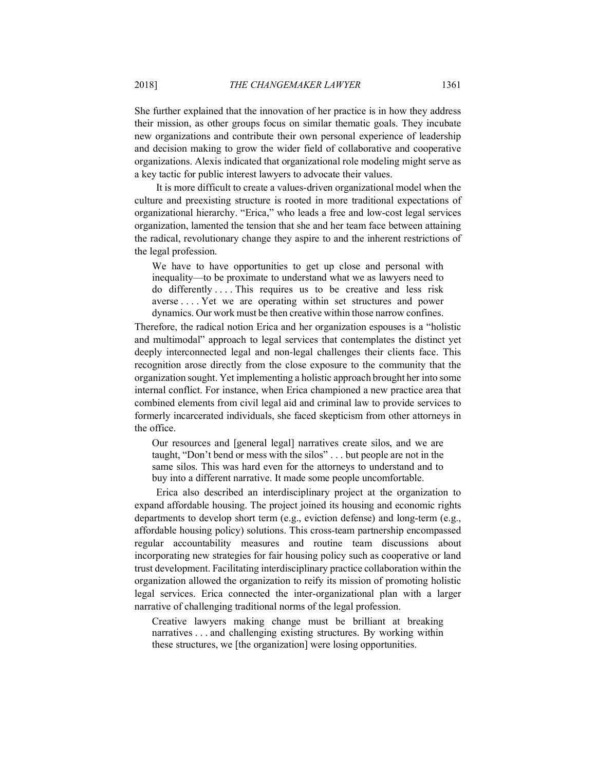She further explained that the innovation of her practice is in how they address their mission, as other groups focus on similar thematic goals. They incubate new organizations and contribute their own personal experience of leadership and decision making to grow the wider field of collaborative and cooperative organizations. Alexis indicated that organizational role modeling might serve as a key tactic for public interest lawyers to advocate their values.

It is more difficult to create a values-driven organizational model when the culture and preexisting structure is rooted in more traditional expectations of organizational hierarchy. "Erica," who leads a free and low-cost legal services organization, lamented the tension that she and her team face between attaining the radical, revolutionary change they aspire to and the inherent restrictions of the legal profession.

We have to have opportunities to get up close and personal with inequality—to be proximate to understand what we as lawyers need to do differently ... . This requires us to be creative and less risk averse . . . . Yet we are operating within set structures and power dynamics. Our work must be then creative within those narrow confines.

Therefore, the radical notion Erica and her organization espouses is a "holistic and multimodal" approach to legal services that contemplates the distinct yet deeply interconnected legal and non-legal challenges their clients face. This recognition arose directly from the close exposure to the community that the organization sought. Yet implementing a holistic approach brought her into some internal conflict. For instance, when Erica championed a new practice area that combined elements from civil legal aid and criminal law to provide services to formerly incarcerated individuals, she faced skepticism from other attorneys in the office.

Our resources and [general legal] narratives create silos, and we are taught, "Don't bend or mess with the silos" . . . but people are not in the same silos. This was hard even for the attorneys to understand and to buy into a different narrative. It made some people uncomfortable.

Erica also described an interdisciplinary project at the organization to expand affordable housing. The project joined its housing and economic rights departments to develop short term (e.g., eviction defense) and long-term (e.g., affordable housing policy) solutions. This cross-team partnership encompassed regular accountability measures and routine team discussions about incorporating new strategies for fair housing policy such as cooperative or land trust development. Facilitating interdisciplinary practice collaboration within the organization allowed the organization to reify its mission of promoting holistic legal services. Erica connected the inter-organizational plan with a larger narrative of challenging traditional norms of the legal profession.

Creative lawyers making change must be brilliant at breaking narratives . . . and challenging existing structures. By working within these structures, we [the organization] were losing opportunities.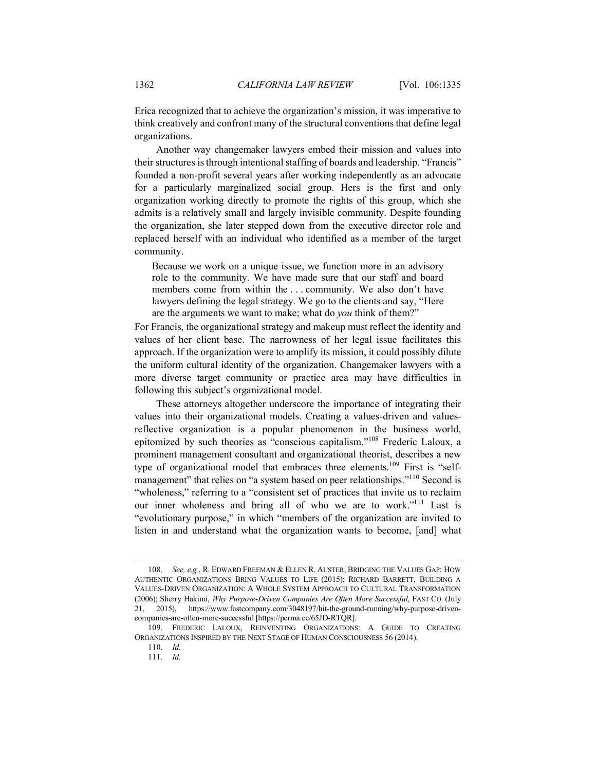Erica recognized that to achieve the organization's mission, it was imperative to think creatively and confront many of the structural conventions that define legal organizations.

Another way changemaker lawyers embed their mission and values into their structures is through intentional staffing of boards and leadership. "Francis" founded a non-profit several years after working independently as an advocate for a particularly marginalized social group. Hers is the first and only organization working directly to promote the rights of this group, which she admits is a relatively small and largely invisible community. Despite founding the organization, she later stepped down from the executive director role and replaced herself with an individual who identified as a member of the target community.

Because we work on a unique issue, we function more in an advisory role to the community. We have made sure that our staff and board members come from within the . . . community. We also don't have lawyers defining the legal strategy. We go to the clients and say, "Here are the arguments we want to make; what do *you* think of them?"

For Francis, the organizational strategy and makeup must reflect the identity and values of her client base. The narrowness of her legal issue facilitates this approach. If the organization were to amplify its mission, it could possibly dilute the uniform cultural identity of the organization. Changemaker lawyers with a more diverse target community or practice area may have difficulties in following this subject's organizational model.

These attorneys altogether underscore the importance of integrating their values into their organizational models. Creating a values-driven and valuesreflective organization is a popular phenomenon in the business world, epitomized by such theories as "conscious capitalism."108 Frederic Laloux, a prominent management consultant and organizational theorist, describes a new type of organizational model that embraces three elements.<sup>109</sup> First is "selfmanagement" that relies on "a system based on peer relationships."<sup>110</sup> Second is "wholeness," referring to a "consistent set of practices that invite us to reclaim our inner wholeness and bring all of who we are to work."<sup>111</sup> Last is "evolutionary purpose," in which "members of the organization are invited to listen in and understand what the organization wants to become, [and] what

110. *Id.*

111. *Id.*

<sup>108.</sup> *See, e.g.*, R. EDWARD FREEMAN & ELLEN R. AUSTER, BRIDGING THE VALUES GAP: HOW AUTHENTIC ORGANIZATIONS BRING VALUES TO LIFE (2015); RICHARD BARRETT, BUILDING A VALUES-DRIVEN ORGANIZATION: A WHOLE SYSTEM APPROACH TO CULTURAL TRANSFORMATION (2006); Sherry Hakimi, *Why Purpose-Driven Companies Are Often More Successful*, FAST CO. (July 21, 2015), https://www.fastcompany.com/3048197/hit-the-ground-running/why-purpose-drivencompanies-are-often-more-successful [https://perma.cc/65JD-RTQR].

<sup>109.</sup> FREDERIC LALOUX, REINVENTING ORGANIZATIONS: A GUIDE TO CREATING ORGANIZATIONS INSPIRED BY THE NEXT STAGE OF HUMAN CONSCIOUSNESS 56 (2014).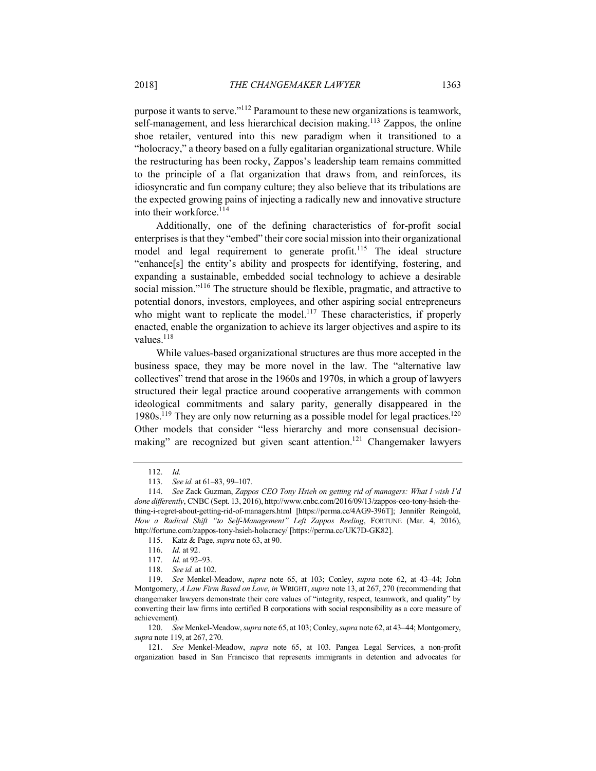purpose it wants to serve."112 Paramount to these new organizations is teamwork, self-management, and less hierarchical decision making.<sup>113</sup> Zappos, the online shoe retailer, ventured into this new paradigm when it transitioned to a "holocracy," a theory based on a fully egalitarian organizational structure. While the restructuring has been rocky, Zappos's leadership team remains committed to the principle of a flat organization that draws from, and reinforces, its idiosyncratic and fun company culture; they also believe that its tribulations are the expected growing pains of injecting a radically new and innovative structure into their workforce.<sup>114</sup>

Additionally, one of the defining characteristics of for-profit social enterprises is that they "embed" their core social mission into their organizational model and legal requirement to generate profit.<sup>115</sup> The ideal structure "enhance[s] the entity's ability and prospects for identifying, fostering, and expanding a sustainable, embedded social technology to achieve a desirable social mission."<sup>116</sup> The structure should be flexible, pragmatic, and attractive to potential donors, investors, employees, and other aspiring social entrepreneurs who might want to replicate the model.<sup>117</sup> These characteristics, if properly enacted, enable the organization to achieve its larger objectives and aspire to its values<sup>118</sup>

While values-based organizational structures are thus more accepted in the business space, they may be more novel in the law. The "alternative law collectives" trend that arose in the 1960s and 1970s, in which a group of lawyers structured their legal practice around cooperative arrangements with common ideological commitments and salary parity, generally disappeared in the 1980s.<sup>119</sup> They are only now returning as a possible model for legal practices.<sup>120</sup> Other models that consider "less hierarchy and more consensual decisionmaking" are recognized but given scant attention.<sup>121</sup> Changemaker lawyers

120. *See* Menkel-Meadow, *supra* note 65, at 103; Conley, *supra* note 62, at 43–44; Montgomery, *supra* note 119, at 267, 270.

121. *See* Menkel-Meadow, *supra* note 65, at 103. Pangea Legal Services, a non-profit organization based in San Francisco that represents immigrants in detention and advocates for

<sup>112.</sup> *Id.*

<sup>113.</sup> *See id.* at 61–83, 99–107.

<sup>114.</sup> *See* Zack Guzman, *Zappos CEO Tony Hsieh on getting rid of managers: What I wish I'd done differently*, CNBC(Sept. 13, 2016), http://www.cnbc.com/2016/09/13/zappos-ceo-tony-hsieh-thething-i-regret-about-getting-rid-of-managers.html [https://perma.cc/4AG9-396T]; Jennifer Reingold, *How a Radical Shift "to Self-Management" Left Zappos Reeling*, FORTUNE (Mar. 4, 2016), http://fortune.com/zappos-tony-hsieh-holacracy/ [https://perma.cc/UK7D-GK82].

<sup>115.</sup> Katz & Page, *supra* note 63, at 90.

<sup>116.</sup> *Id.* at 92.

<sup>117.</sup> *Id.* at 92–93.

<sup>118.</sup> *See id.* at 102.

<sup>119.</sup> *See* Menkel-Meadow, *supra* note 65, at 103; Conley, *supra* note 62, at 43–44; John Montgomery, *A Law Firm Based on Love*, *in* WRIGHT, *supra* note 13, at 267, 270 (recommending that changemaker lawyers demonstrate their core values of "integrity, respect, teamwork, and quality" by converting their law firms into certified B corporations with social responsibility as a core measure of achievement).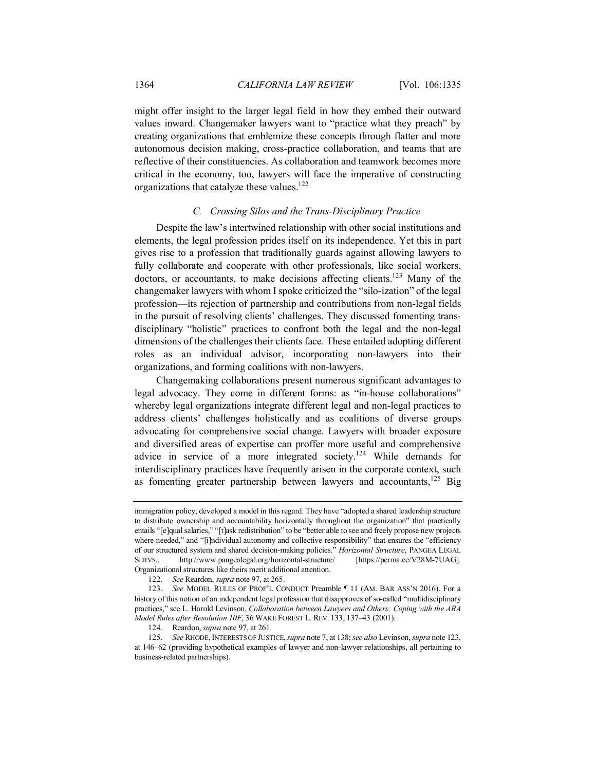might offer insight to the larger legal field in how they embed their outward values inward. Changemaker lawyers want to "practice what they preach" by creating organizations that emblemize these concepts through flatter and more autonomous decision making, cross-practice collaboration, and teams that are reflective of their constituencies. As collaboration and teamwork becomes more critical in the economy, too, lawyers will face the imperative of constructing organizations that catalyze these values.122

# *C. Crossing Silos and the Trans-Disciplinary Practice*

Despite the law's intertwined relationship with other social institutions and elements, the legal profession prides itself on its independence. Yet this in part gives rise to a profession that traditionally guards against allowing lawyers to fully collaborate and cooperate with other professionals, like social workers, doctors, or accountants, to make decisions affecting clients.<sup>123</sup> Many of the changemaker lawyers with whom I spoke criticized the "silo-ization" of the legal profession—its rejection of partnership and contributions from non-legal fields in the pursuit of resolving clients' challenges. They discussed fomenting transdisciplinary "holistic" practices to confront both the legal and the non-legal dimensions of the challenges their clients face. These entailed adopting different roles as an individual advisor, incorporating non-lawyers into their organizations, and forming coalitions with non-lawyers.

Changemaking collaborations present numerous significant advantages to legal advocacy. They come in different forms: as "in-house collaborations" whereby legal organizations integrate different legal and non-legal practices to address clients' challenges holistically and as coalitions of diverse groups advocating for comprehensive social change. Lawyers with broader exposure and diversified areas of expertise can proffer more useful and comprehensive advice in service of a more integrated society.<sup>124</sup> While demands for interdisciplinary practices have frequently arisen in the corporate context, such as fomenting greater partnership between lawyers and accountants, $125$  Big

immigration policy, developed a model in this regard. They have "adopted a shared leadership structure to distribute ownership and accountability horizontally throughout the organization" that practically entails "[e]qual salaries," "[t]ask redistribution" to be "better able to see and freely propose new projects where needed," and "[i]ndividual autonomy and collective responsibility" that ensures the "efficiency of our structured system and shared decision-making policies." *Horizontal Structure*, PANGEA LEGAL SERVS., http://www.pangealegal.org/horizontal-structure/ [https://perma.cc/V28M-7UAG]. Organizational structures like theirs merit additional attention.

<sup>122.</sup> *See* Reardon, *supra* note 97, at 265.

<sup>123.</sup> *See* MODEL RULES OF PROF'L CONDUCT Preamble ¶ 11 (AM. BAR ASS'N 2016). For a history of this notion of an independent legal profession that disapproves of so-called "multidisciplinary practices," see L. Harold Levinson, *Collaboration between Lawyers and Others: Coping with the ABA Model Rules after Resolution 10F*, 36 WAKE FOREST L. REV. 133, 137–43 (2001).

<sup>124.</sup> Reardon, *supra* note 97, at 261.

<sup>125.</sup> *See* RHODE,INTERESTS OF JUSTICE,*supra* note 7, at 138; *see also* Levinson, *supra* note 123, at 146–62 (providing hypothetical examples of lawyer and non-lawyer relationships, all pertaining to business-related partnerships).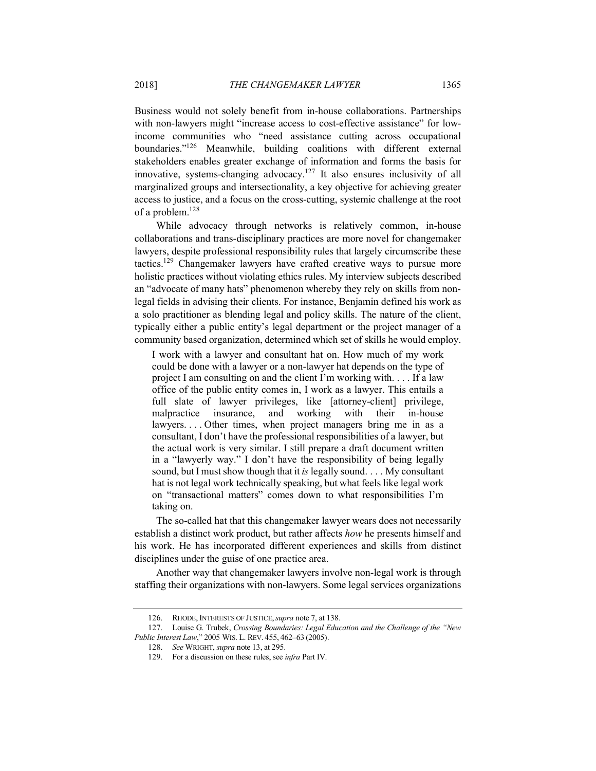Business would not solely benefit from in-house collaborations. Partnerships with non-lawyers might "increase access to cost-effective assistance" for lowincome communities who "need assistance cutting across occupational boundaries."126 Meanwhile, building coalitions with different external stakeholders enables greater exchange of information and forms the basis for innovative, systems-changing advocacy.<sup>127</sup> It also ensures inclusivity of all marginalized groups and intersectionality, a key objective for achieving greater access to justice, and a focus on the cross-cutting, systemic challenge at the root of a problem.<sup>128</sup>

While advocacy through networks is relatively common, in-house collaborations and trans-disciplinary practices are more novel for changemaker lawyers, despite professional responsibility rules that largely circumscribe these tactics.129 Changemaker lawyers have crafted creative ways to pursue more holistic practices without violating ethics rules. My interview subjects described an "advocate of many hats" phenomenon whereby they rely on skills from nonlegal fields in advising their clients. For instance, Benjamin defined his work as a solo practitioner as blending legal and policy skills. The nature of the client, typically either a public entity's legal department or the project manager of a community based organization, determined which set of skills he would employ.

I work with a lawyer and consultant hat on. How much of my work could be done with a lawyer or a non-lawyer hat depends on the type of project I am consulting on and the client I'm working with. . . . If a law office of the public entity comes in, I work as a lawyer. This entails a full slate of lawyer privileges, like [attorney-client] privilege, malpractice insurance, and working with their in-house lawyers.... Other times, when project managers bring me in as a consultant, I don't have the professional responsibilities of a lawyer, but the actual work is very similar. I still prepare a draft document written in a "lawyerly way." I don't have the responsibility of being legally sound, but I must show though that it *is* legally sound. . . . My consultant hat is not legal work technically speaking, but what feels like legal work on "transactional matters" comes down to what responsibilities I'm taking on.

The so-called hat that this changemaker lawyer wears does not necessarily establish a distinct work product, but rather affects *how* he presents himself and his work. He has incorporated different experiences and skills from distinct disciplines under the guise of one practice area.

Another way that changemaker lawyers involve non-legal work is through staffing their organizations with non-lawyers. Some legal services organizations

<sup>126.</sup> RHODE, INTERESTS OF JUSTICE,*supra* note 7, at 138.

<sup>127.</sup> Louise G. Trubek, *Crossing Boundaries: Legal Education and the Challenge of the "New Public Interest Law*," 2005 WIS. L. REV. 455, 462–63 (2005).

<sup>128.</sup> *See* WRIGHT, *supra* note 13, at 295.

<sup>129.</sup> For a discussion on these rules, see *infra* Part IV.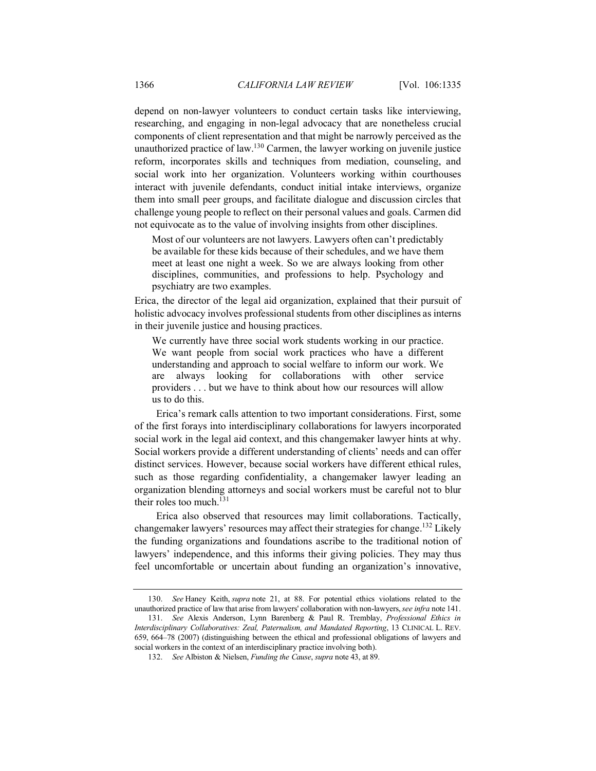depend on non-lawyer volunteers to conduct certain tasks like interviewing, researching, and engaging in non-legal advocacy that are nonetheless crucial components of client representation and that might be narrowly perceived as the unauthorized practice of law.<sup>130</sup> Carmen, the lawyer working on juvenile justice reform, incorporates skills and techniques from mediation, counseling, and social work into her organization. Volunteers working within courthouses interact with juvenile defendants, conduct initial intake interviews, organize them into small peer groups, and facilitate dialogue and discussion circles that challenge young people to reflect on their personal values and goals. Carmen did not equivocate as to the value of involving insights from other disciplines.

Most of our volunteers are not lawyers. Lawyers often can't predictably be available for these kids because of their schedules, and we have them meet at least one night a week. So we are always looking from other disciplines, communities, and professions to help. Psychology and psychiatry are two examples.

Erica, the director of the legal aid organization, explained that their pursuit of holistic advocacy involves professional students from other disciplines as interns in their juvenile justice and housing practices.

We currently have three social work students working in our practice. We want people from social work practices who have a different understanding and approach to social welfare to inform our work. We are always looking for collaborations with other service providers . . . but we have to think about how our resources will allow us to do this.

Erica's remark calls attention to two important considerations. First, some of the first forays into interdisciplinary collaborations for lawyers incorporated social work in the legal aid context, and this changemaker lawyer hints at why. Social workers provide a different understanding of clients' needs and can offer distinct services. However, because social workers have different ethical rules, such as those regarding confidentiality, a changemaker lawyer leading an organization blending attorneys and social workers must be careful not to blur their roles too much.<sup>131</sup>

Erica also observed that resources may limit collaborations. Tactically, changemaker lawyers' resources may affect their strategies for change.132 Likely the funding organizations and foundations ascribe to the traditional notion of lawyers' independence, and this informs their giving policies. They may thus feel uncomfortable or uncertain about funding an organization's innovative,

<sup>130.</sup> *See* Haney Keith, *supra* note 21, at 88. For potential ethics violations related to the unauthorized practice of law that arise from lawyers' collaboration with non-lawyers,*see infra* note 141.

<sup>131.</sup> *See* Alexis Anderson, Lynn Barenberg & Paul R. Tremblay, *Professional Ethics in Interdisciplinary Collaboratives: Zeal, Paternalism, and Mandated Reporting*, 13 CLINICAL L. REV. 659, 664–78 (2007) (distinguishing between the ethical and professional obligations of lawyers and social workers in the context of an interdisciplinary practice involving both).

<sup>132.</sup> *See* Albiston & Nielsen, *Funding the Cause*, *supra* note 43, at 89.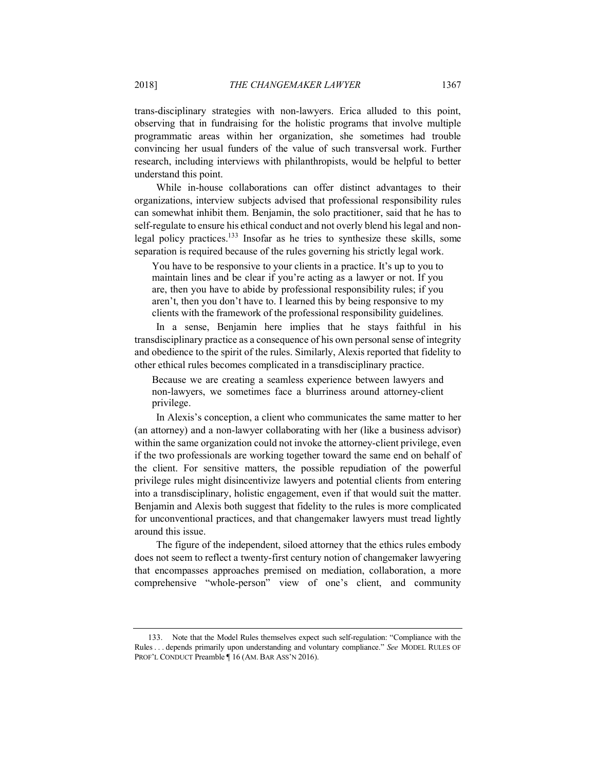trans-disciplinary strategies with non-lawyers. Erica alluded to this point, observing that in fundraising for the holistic programs that involve multiple programmatic areas within her organization, she sometimes had trouble convincing her usual funders of the value of such transversal work. Further research, including interviews with philanthropists, would be helpful to better understand this point.

While in-house collaborations can offer distinct advantages to their organizations, interview subjects advised that professional responsibility rules can somewhat inhibit them. Benjamin, the solo practitioner, said that he has to self-regulate to ensure his ethical conduct and not overly blend his legal and nonlegal policy practices.133 Insofar as he tries to synthesize these skills, some separation is required because of the rules governing his strictly legal work.

You have to be responsive to your clients in a practice. It's up to you to maintain lines and be clear if you're acting as a lawyer or not. If you are, then you have to abide by professional responsibility rules; if you aren't, then you don't have to. I learned this by being responsive to my clients with the framework of the professional responsibility guidelines.

In a sense, Benjamin here implies that he stays faithful in his transdisciplinary practice as a consequence of his own personal sense of integrity and obedience to the spirit of the rules. Similarly, Alexis reported that fidelity to other ethical rules becomes complicated in a transdisciplinary practice.

Because we are creating a seamless experience between lawyers and non-lawyers, we sometimes face a blurriness around attorney-client privilege.

In Alexis's conception, a client who communicates the same matter to her (an attorney) and a non-lawyer collaborating with her (like a business advisor) within the same organization could not invoke the attorney-client privilege, even if the two professionals are working together toward the same end on behalf of the client. For sensitive matters, the possible repudiation of the powerful privilege rules might disincentivize lawyers and potential clients from entering into a transdisciplinary, holistic engagement, even if that would suit the matter. Benjamin and Alexis both suggest that fidelity to the rules is more complicated for unconventional practices, and that changemaker lawyers must tread lightly around this issue.

The figure of the independent, siloed attorney that the ethics rules embody does not seem to reflect a twenty-first century notion of changemaker lawyering that encompasses approaches premised on mediation, collaboration, a more comprehensive "whole-person" view of one's client, and community

<sup>133.</sup> Note that the Model Rules themselves expect such self-regulation: "Compliance with the Rules . . . depends primarily upon understanding and voluntary compliance." *See* MODEL RULES OF PROF'L CONDUCT Preamble ¶ 16 (AM. BAR ASS'N 2016).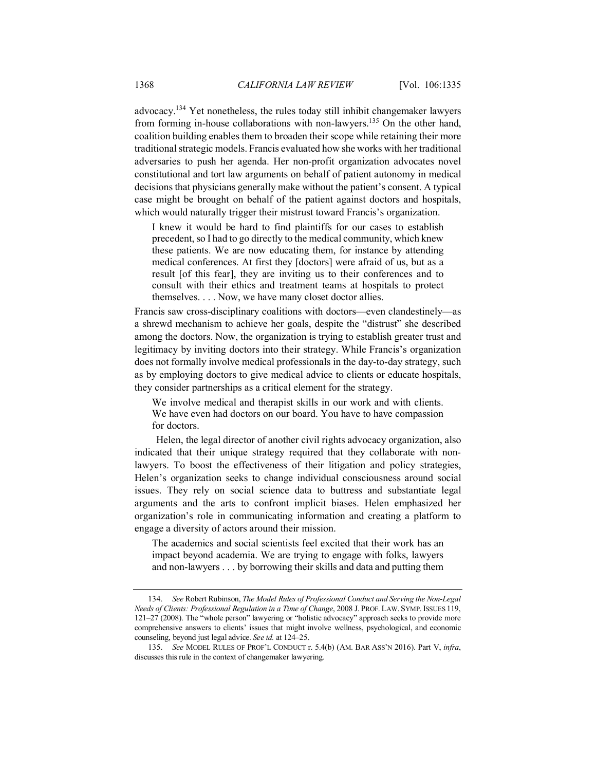advocacy.134 Yet nonetheless, the rules today still inhibit changemaker lawyers from forming in-house collaborations with non-lawyers.<sup>135</sup> On the other hand, coalition building enables them to broaden their scope while retaining their more traditional strategic models. Francis evaluated how she works with her traditional adversaries to push her agenda. Her non-profit organization advocates novel constitutional and tort law arguments on behalf of patient autonomy in medical decisions that physicians generally make without the patient's consent. A typical case might be brought on behalf of the patient against doctors and hospitals, which would naturally trigger their mistrust toward Francis's organization.

I knew it would be hard to find plaintiffs for our cases to establish precedent, so I had to go directly to the medical community, which knew these patients. We are now educating them, for instance by attending medical conferences. At first they [doctors] were afraid of us, but as a result [of this fear], they are inviting us to their conferences and to consult with their ethics and treatment teams at hospitals to protect themselves. . . . Now, we have many closet doctor allies.

Francis saw cross-disciplinary coalitions with doctors—even clandestinely—as a shrewd mechanism to achieve her goals, despite the "distrust" she described among the doctors. Now, the organization is trying to establish greater trust and legitimacy by inviting doctors into their strategy. While Francis's organization does not formally involve medical professionals in the day-to-day strategy, such as by employing doctors to give medical advice to clients or educate hospitals, they consider partnerships as a critical element for the strategy.

We involve medical and therapist skills in our work and with clients. We have even had doctors on our board. You have to have compassion for doctors.

Helen, the legal director of another civil rights advocacy organization, also indicated that their unique strategy required that they collaborate with nonlawyers. To boost the effectiveness of their litigation and policy strategies, Helen's organization seeks to change individual consciousness around social issues. They rely on social science data to buttress and substantiate legal arguments and the arts to confront implicit biases. Helen emphasized her organization's role in communicating information and creating a platform to engage a diversity of actors around their mission.

The academics and social scientists feel excited that their work has an impact beyond academia. We are trying to engage with folks, lawyers and non-lawyers . . . by borrowing their skills and data and putting them

<sup>134.</sup> *See* Robert Rubinson, *The Model Rules of Professional Conduct and Serving the Non-Legal Needs of Clients: Professional Regulation in a Time of Change*, 2008 J. PROF. LAW. SYMP. ISSUES 119, 121–27 (2008). The "whole person" lawyering or "holistic advocacy" approach seeks to provide more comprehensive answers to clients' issues that might involve wellness, psychological, and economic counseling, beyond just legal advice. *See id.* at 124–25.

<sup>135.</sup> *See* MODEL RULES OF PROF'L CONDUCT r. 5.4(b) (AM. BAR ASS'N 2016). Part V, *infra*, discusses this rule in the context of changemaker lawyering.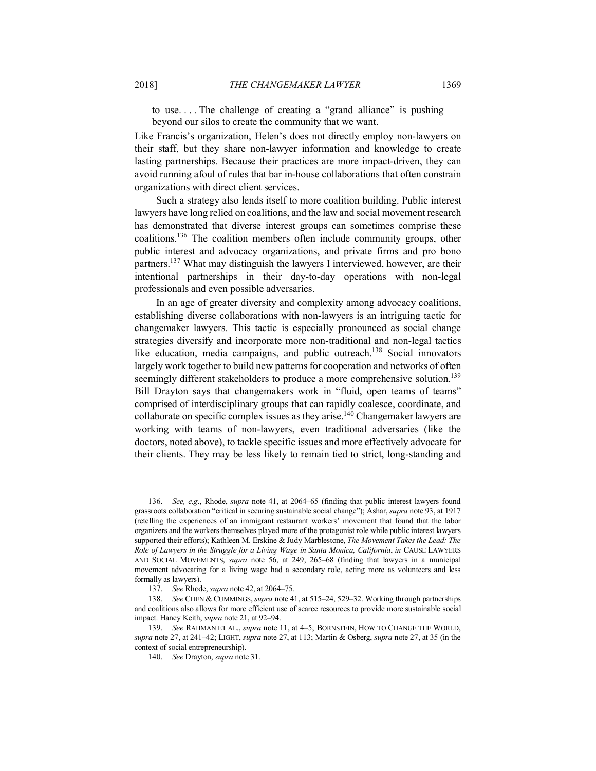to use. . . . The challenge of creating a "grand alliance" is pushing beyond our silos to create the community that we want.

Like Francis's organization, Helen's does not directly employ non-lawyers on their staff, but they share non-lawyer information and knowledge to create lasting partnerships. Because their practices are more impact-driven, they can avoid running afoul of rules that bar in-house collaborations that often constrain organizations with direct client services.

Such a strategy also lends itself to more coalition building. Public interest lawyers have long relied on coalitions, and the law and social movement research has demonstrated that diverse interest groups can sometimes comprise these coalitions.136 The coalition members often include community groups, other public interest and advocacy organizations, and private firms and pro bono partners.<sup>137</sup> What may distinguish the lawyers I interviewed, however, are their intentional partnerships in their day-to-day operations with non-legal professionals and even possible adversaries.

In an age of greater diversity and complexity among advocacy coalitions, establishing diverse collaborations with non-lawyers is an intriguing tactic for changemaker lawyers. This tactic is especially pronounced as social change strategies diversify and incorporate more non-traditional and non-legal tactics like education, media campaigns, and public outreach.<sup>138</sup> Social innovators largely work together to build new patterns for cooperation and networks of often seemingly different stakeholders to produce a more comprehensive solution.<sup>139</sup> Bill Drayton says that changemakers work in "fluid, open teams of teams" comprised of interdisciplinary groups that can rapidly coalesce, coordinate, and collaborate on specific complex issues as they arise.<sup>140</sup> Changemaker lawyers are working with teams of non-lawyers, even traditional adversaries (like the doctors, noted above), to tackle specific issues and more effectively advocate for their clients. They may be less likely to remain tied to strict, long-standing and

<sup>136.</sup> *See, e.g.*, Rhode, *supra* note 41, at 2064–65 (finding that public interest lawyers found grassroots collaboration "critical in securing sustainable social change"); Ashar, *supra* note 93, at 1917 (retelling the experiences of an immigrant restaurant workers' movement that found that the labor organizers and the workers themselves played more of the protagonist role while public interest lawyers supported their efforts); Kathleen M. Erskine & Judy Marblestone, *The Movement Takes the Lead: The Role of Lawyers in the Struggle for a Living Wage in Santa Monica, California*, *in* CAUSE LAWYERS AND SOCIAL MOVEMENTS, *supra* note 56, at 249, 265–68 (finding that lawyers in a municipal movement advocating for a living wage had a secondary role, acting more as volunteers and less formally as lawyers).

<sup>137.</sup> *See* Rhode, *supra* note 42, at 2064–75.

<sup>138.</sup> *See* CHEN & CUMMINGS, *supra* note 41, at 515–24, 529–32. Working through partnerships and coalitions also allows for more efficient use of scarce resources to provide more sustainable social impact. Haney Keith, *supra* note 21, at 92–94.

<sup>139.</sup> *See* RAHMAN ET AL., *supra* note 11, at 4–5; BORNSTEIN, HOW TO CHANGE THE WORLD, *supra* note 27, at 241–42; LIGHT, *supra* note 27, at 113; Martin & Osberg, *supra* note 27, at 35 (in the context of social entrepreneurship).

<sup>140.</sup> *See* Drayton, *supra* note 31.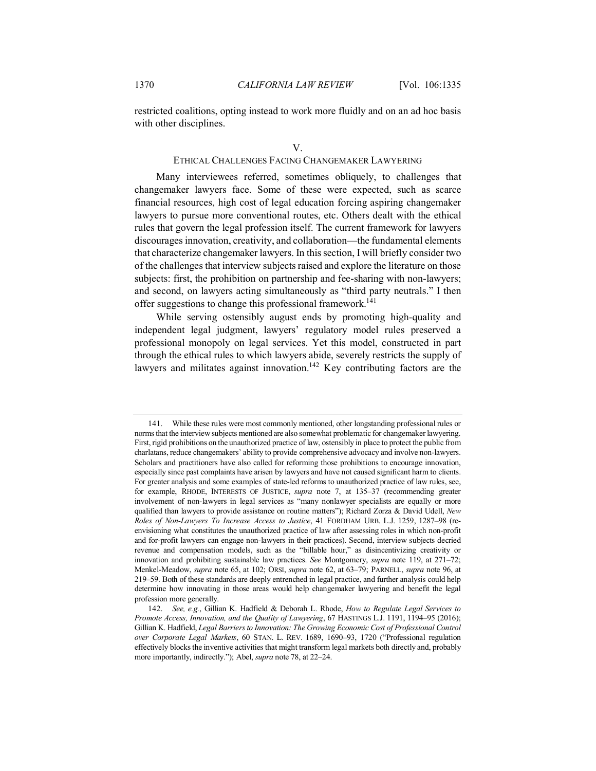restricted coalitions, opting instead to work more fluidly and on an ad hoc basis with other disciplines.

# ETHICAL CHALLENGES FACING CHANGEMAKER LAWYERING

Many interviewees referred, sometimes obliquely, to challenges that changemaker lawyers face. Some of these were expected, such as scarce financial resources, high cost of legal education forcing aspiring changemaker lawyers to pursue more conventional routes, etc. Others dealt with the ethical rules that govern the legal profession itself. The current framework for lawyers discourages innovation, creativity, and collaboration—the fundamental elements that characterize changemaker lawyers. In this section, I will briefly consider two of the challenges that interview subjects raised and explore the literature on those subjects: first, the prohibition on partnership and fee-sharing with non-lawyers; and second, on lawyers acting simultaneously as "third party neutrals." I then offer suggestions to change this professional framework.<sup>141</sup>

While serving ostensibly august ends by promoting high-quality and independent legal judgment, lawyers' regulatory model rules preserved a professional monopoly on legal services. Yet this model, constructed in part through the ethical rules to which lawyers abide, severely restricts the supply of lawyers and militates against innovation.<sup>142</sup> Key contributing factors are the

<sup>141.</sup> While these rules were most commonly mentioned, other longstanding professional rules or norms that the interview subjects mentioned are also somewhat problematic for changemaker lawyering. First, rigid prohibitions on the unauthorized practice of law, ostensibly in place to protect the public from charlatans, reduce changemakers' ability to provide comprehensive advocacy and involve non-lawyers. Scholars and practitioners have also called for reforming those prohibitions to encourage innovation, especially since past complaints have arisen by lawyers and have not caused significant harm to clients. For greater analysis and some examples of state-led reforms to unauthorized practice of law rules, see, for example, RHODE, INTERESTS OF JUSTICE, *supra* note 7, at 135–37 (recommending greater involvement of non-lawyers in legal services as "many nonlawyer specialists are equally or more qualified than lawyers to provide assistance on routine matters"); Richard Zorza & David Udell, *New Roles of Non-Lawyers To Increase Access to Justice*, 41 FORDHAM URB. L.J. 1259, 1287–98 (reenvisioning what constitutes the unauthorized practice of law after assessing roles in which non-profit and for-profit lawyers can engage non-lawyers in their practices). Second, interview subjects decried revenue and compensation models, such as the "billable hour," as disincentivizing creativity or innovation and prohibiting sustainable law practices. *See* Montgomery, *supra* note 119, at 271–72; Menkel-Meadow, *supra* note 65, at 102; ORSI, *supra* note 62, at 63–79; PARNELL, *supra* note 96, at 219–59. Both of these standards are deeply entrenched in legal practice, and further analysis could help determine how innovating in those areas would help changemaker lawyering and benefit the legal profession more generally.

<sup>142.</sup> *See, e.g.*, Gillian K. Hadfield & Deborah L. Rhode, *How to Regulate Legal Services to Promote Access, Innovation, and the Quality of Lawyering*, 67 HASTINGS L.J. 1191, 1194–95 (2016); Gillian K. Hadfield, *Legal Barriers to Innovation: The Growing Economic Cost of Professional Control over Corporate Legal Markets*, 60 STAN. L. REV. 1689, 1690–93, 1720 ("Professional regulation effectively blocks the inventive activities that might transform legal markets both directly and, probably more importantly, indirectly."); Abel, *supra* note 78, at 22–24.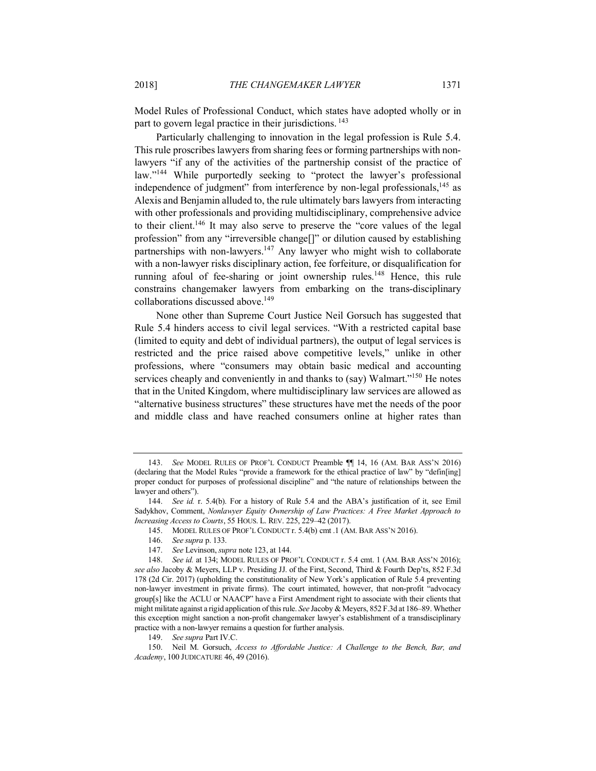Model Rules of Professional Conduct, which states have adopted wholly or in part to govern legal practice in their jurisdictions.<sup>143</sup>

Particularly challenging to innovation in the legal profession is Rule 5.4. This rule proscribes lawyers from sharing fees or forming partnerships with nonlawyers "if any of the activities of the partnership consist of the practice of law."<sup>144</sup> While purportedly seeking to "protect the lawyer's professional independence of judgment" from interference by non-legal professionals,<sup>145</sup> as Alexis and Benjamin alluded to, the rule ultimately bars lawyers from interacting with other professionals and providing multidisciplinary, comprehensive advice to their client.146 It may also serve to preserve the "core values of the legal profession" from any "irreversible change[]" or dilution caused by establishing partnerships with non-lawyers.<sup>147</sup> Any lawyer who might wish to collaborate with a non-lawyer risks disciplinary action, fee forfeiture, or disqualification for running afoul of fee-sharing or joint ownership rules.<sup>148</sup> Hence, this rule constrains changemaker lawyers from embarking on the trans-disciplinary collaborations discussed above.<sup>149</sup>

None other than Supreme Court Justice Neil Gorsuch has suggested that Rule 5.4 hinders access to civil legal services. "With a restricted capital base (limited to equity and debt of individual partners), the output of legal services is restricted and the price raised above competitive levels," unlike in other professions, where "consumers may obtain basic medical and accounting services cheaply and conveniently in and thanks to (say) Walmart."<sup>150</sup> He notes that in the United Kingdom, where multidisciplinary law services are allowed as "alternative business structures" these structures have met the needs of the poor and middle class and have reached consumers online at higher rates than

149. *See supra* Part IV.C.

<sup>143.</sup> *See* MODEL RULES OF PROF'L CONDUCT Preamble ¶¶ 14, 16 (AM. BAR ASS'N 2016) (declaring that the Model Rules "provide a framework for the ethical practice of law" by "defin[ing] proper conduct for purposes of professional discipline" and "the nature of relationships between the lawyer and others").

<sup>144.</sup> *See id.* r. 5.4(b). For a history of Rule 5.4 and the ABA's justification of it, see Emil Sadykhov, Comment, *Nonlawyer Equity Ownership of Law Practices: A Free Market Approach to Increasing Access to Courts*, 55 HOUS. L. REV. 225, 229–42 (2017).

<sup>145.</sup> MODEL RULES OF PROF'L CONDUCT r. 5.4(b) cmt .1 (AM. BAR ASS'N 2016).

<sup>146.</sup> *See supra* p. 133.

<sup>147.</sup> *See* Levinson, *supra* note 123, at 144.

<sup>148.</sup> *See id.* at 134; MODEL RULES OF PROF'L CONDUCT r. 5.4 cmt. 1 (AM. BAR ASS'N 2016); *see also* Jacoby & Meyers, LLP v. Presiding JJ. of the First, Second, Third & Fourth Dep'ts, 852 F.3d 178 (2d Cir. 2017) (upholding the constitutionality of New York's application of Rule 5.4 preventing non-lawyer investment in private firms). The court intimated, however, that non-profit "advocacy group[s] like the ACLU or NAACP" have a First Amendment right to associate with their clients that might militate against a rigid application of this rule. *See* Jacoby & Meyers, 852 F.3d at 186–89. Whether this exception might sanction a non-profit changemaker lawyer's establishment of a transdisciplinary practice with a non-lawyer remains a question for further analysis.

<sup>150.</sup> Neil M. Gorsuch, *Access to Affordable Justice: A Challenge to the Bench, Bar, and Academy*, 100 JUDICATURE 46, 49 (2016).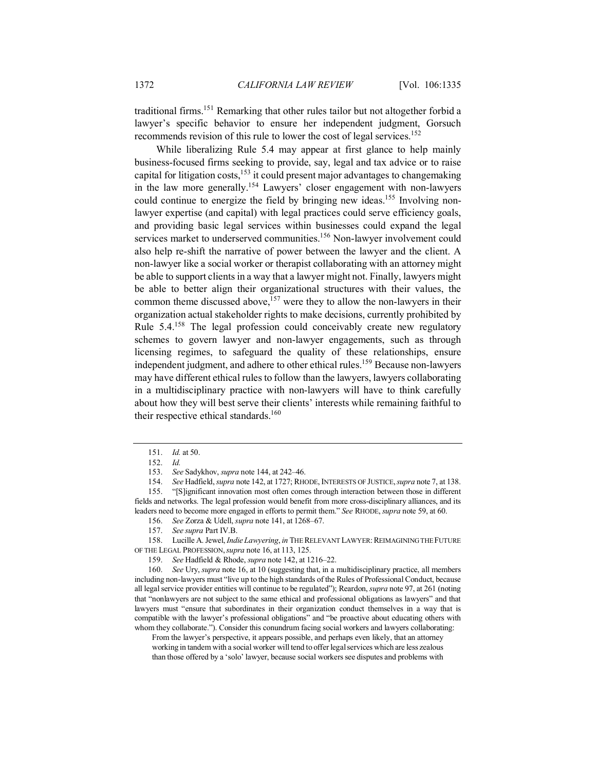traditional firms.151 Remarking that other rules tailor but not altogether forbid a lawyer's specific behavior to ensure her independent judgment, Gorsuch recommends revision of this rule to lower the cost of legal services.<sup>152</sup>

While liberalizing Rule 5.4 may appear at first glance to help mainly business-focused firms seeking to provide, say, legal and tax advice or to raise capital for litigation costs,<sup>153</sup> it could present major advantages to changemaking in the law more generally.154 Lawyers' closer engagement with non-lawyers could continue to energize the field by bringing new ideas.<sup>155</sup> Involving nonlawyer expertise (and capital) with legal practices could serve efficiency goals, and providing basic legal services within businesses could expand the legal services market to underserved communities.<sup>156</sup> Non-lawyer involvement could also help re-shift the narrative of power between the lawyer and the client. A non-lawyer like a social worker or therapist collaborating with an attorney might be able to support clients in a way that a lawyer might not. Finally, lawyers might be able to better align their organizational structures with their values, the common theme discussed above,<sup>157</sup> were they to allow the non-lawyers in their organization actual stakeholder rights to make decisions, currently prohibited by Rule 5.4.<sup>158</sup> The legal profession could conceivably create new regulatory schemes to govern lawyer and non-lawyer engagements, such as through licensing regimes, to safeguard the quality of these relationships, ensure independent judgment, and adhere to other ethical rules.<sup>159</sup> Because non-lawvers may have different ethical rules to follow than the lawyers, lawyers collaborating in a multidisciplinary practice with non-lawyers will have to think carefully about how they will best serve their clients' interests while remaining faithful to their respective ethical standards.<sup>160</sup>

158. Lucille A. Jewel, *Indie Lawyering*, *in* THE RELEVANT LAWYER: REIMAGINING THE FUTURE OF THE LEGAL PROFESSION,*supra* note 16, at 113, 125.

159. *See* Hadfield & Rhode, *supra* note 142, at 1216–22.

160. *See* Ury, *supra* note 16, at 10 (suggesting that, in a multidisciplinary practice, all members including non-lawyers must "live up to the high standards of the Rules of Professional Conduct, because all legal service provider entities will continue to be regulated"); Reardon, *supra* note 97, at 261 (noting that "nonlawyers are not subject to the same ethical and professional obligations as lawyers" and that lawyers must "ensure that subordinates in their organization conduct themselves in a way that is compatible with the lawyer's professional obligations" and "be proactive about educating others with whom they collaborate."). Consider this conundrum facing social workers and lawyers collaborating:

From the lawyer's perspective, it appears possible, and perhaps even likely, that an attorney working in tandem with a social worker will tend to offer legal services which are less zealous than those offered by a 'solo' lawyer, because social workers see disputes and problems with

<sup>151.</sup> *Id.* at 50.

<sup>152.</sup> *Id.*

<sup>153.</sup> *See* Sadykhov, *supra* note 144, at 242–46.

<sup>154.</sup> *See* Hadfield, *supra* note 142, at 1727; RHODE, INTERESTS OF JUSTICE,*supra* note 7, at 138.

<sup>155.</sup> "[S]ignificant innovation most often comes through interaction between those in different fields and networks. The legal profession would benefit from more cross-disciplinary alliances, and its leaders need to become more engaged in efforts to permit them." *See* RHODE, *supra* note 59, at 60.

<sup>156.</sup> *See* Zorza & Udell, *supra* note 141, at 1268–67.

<sup>157.</sup> *See supra* Part IV.B.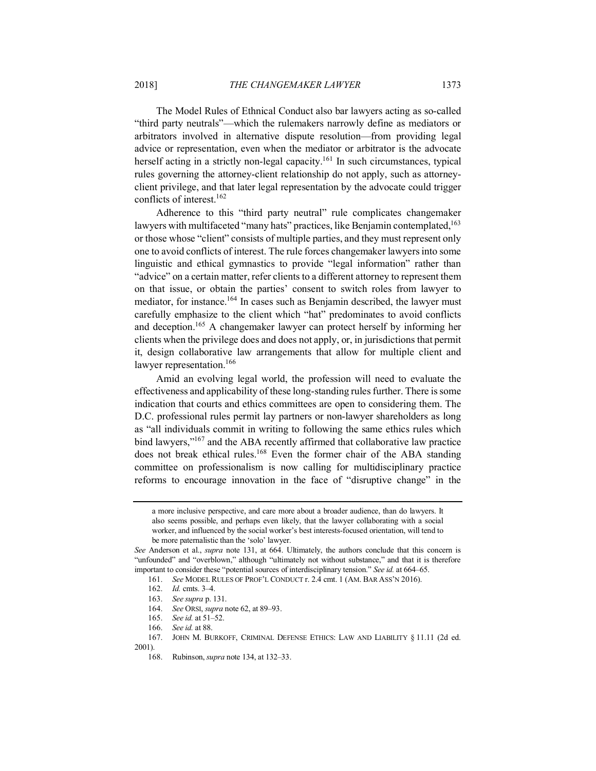The Model Rules of Ethnical Conduct also bar lawyers acting as so-called "third party neutrals"—which the rulemakers narrowly define as mediators or arbitrators involved in alternative dispute resolution—from providing legal advice or representation, even when the mediator or arbitrator is the advocate herself acting in a strictly non-legal capacity.<sup>161</sup> In such circumstances, typical rules governing the attorney-client relationship do not apply, such as attorneyclient privilege, and that later legal representation by the advocate could trigger conflicts of interest.162

Adherence to this "third party neutral" rule complicates changemaker lawyers with multifaceted "many hats" practices, like Benjamin contemplated,<sup>163</sup> or those whose "client" consists of multiple parties, and they must represent only one to avoid conflicts of interest. The rule forces changemaker lawyers into some linguistic and ethical gymnastics to provide "legal information" rather than "advice" on a certain matter, refer clients to a different attorney to represent them on that issue, or obtain the parties' consent to switch roles from lawyer to mediator, for instance.<sup>164</sup> In cases such as Benjamin described, the lawyer must carefully emphasize to the client which "hat" predominates to avoid conflicts and deception. <sup>165</sup> A changemaker lawyer can protect herself by informing her clients when the privilege does and does not apply, or, in jurisdictions that permit it, design collaborative law arrangements that allow for multiple client and lawyer representation.<sup>166</sup>

Amid an evolving legal world, the profession will need to evaluate the effectiveness and applicability of these long-standing rules further. There is some indication that courts and ethics committees are open to considering them. The D.C. professional rules permit lay partners or non-lawyer shareholders as long as "all individuals commit in writing to following the same ethics rules which bind lawyers,"<sup>167</sup> and the ABA recently affirmed that collaborative law practice does not break ethical rules.<sup>168</sup> Even the former chair of the ABA standing committee on professionalism is now calling for multidisciplinary practice reforms to encourage innovation in the face of "disruptive change" in the

2001).

a more inclusive perspective, and care more about a broader audience, than do lawyers. It also seems possible, and perhaps even likely, that the lawyer collaborating with a social worker, and influenced by the social worker's best interests-focused orientation, will tend to be more paternalistic than the 'solo' lawyer.

*See* Anderson et al., *supra* note 131, at 664. Ultimately, the authors conclude that this concern is "unfounded" and "overblown," although "ultimately not without substance," and that it is therefore important to consider these "potential sources of interdisciplinary tension." *See id.* at 664–65.

<sup>161.</sup> *See* MODEL RULES OF PROF'L CONDUCT r. 2.4 cmt. 1 (AM. BAR ASS'N 2016).

<sup>162.</sup> *Id.* cmts. 3–4.

<sup>163.</sup> *See supra* p. 131.

<sup>164.</sup> *See* ORSI, *supra* note 62, at 89–93.

<sup>165.</sup> *See id.* at 51–52.

<sup>166.</sup> *See id.* at 88.

<sup>167.</sup> JOHN M. BURKOFF, CRIMINAL DEFENSE ETHICS: LAW AND LIABILITY § 11.11 (2d ed.

<sup>168.</sup> Rubinson, *supra* note 134, at 132–33.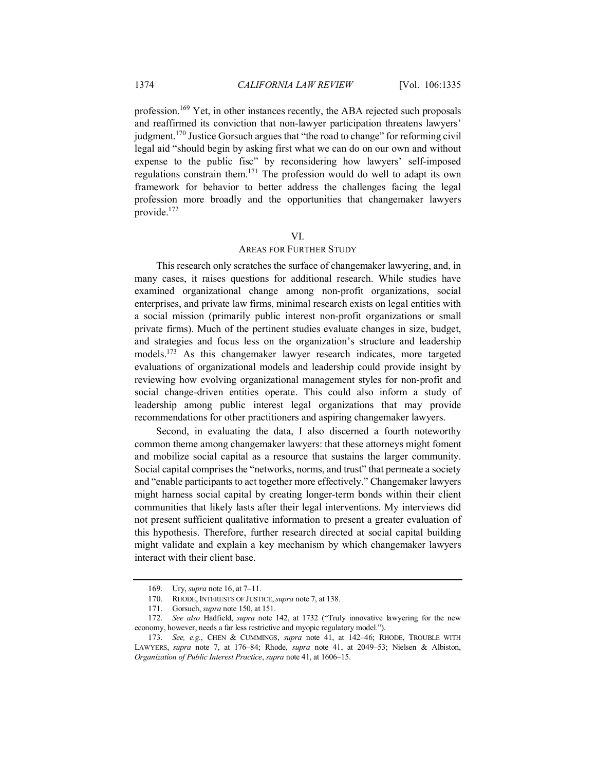profession.169 Yet, in other instances recently, the ABA rejected such proposals and reaffirmed its conviction that non-lawyer participation threatens lawyers' judgment.170 Justice Gorsuch argues that "the road to change" for reforming civil legal aid "should begin by asking first what we can do on our own and without expense to the public fisc" by reconsidering how lawyers' self-imposed regulations constrain them.171 The profession would do well to adapt its own framework for behavior to better address the challenges facing the legal profession more broadly and the opportunities that changemaker lawyers provide.172

# VI.

## AREAS FOR FURTHER STUDY

This research only scratches the surface of changemaker lawyering, and, in many cases, it raises questions for additional research. While studies have examined organizational change among non-profit organizations, social enterprises, and private law firms, minimal research exists on legal entities with a social mission (primarily public interest non-profit organizations or small private firms). Much of the pertinent studies evaluate changes in size, budget, and strategies and focus less on the organization's structure and leadership models.173 As this changemaker lawyer research indicates, more targeted evaluations of organizational models and leadership could provide insight by reviewing how evolving organizational management styles for non-profit and social change-driven entities operate. This could also inform a study of leadership among public interest legal organizations that may provide recommendations for other practitioners and aspiring changemaker lawyers.

Second, in evaluating the data, I also discerned a fourth noteworthy common theme among changemaker lawyers: that these attorneys might foment and mobilize social capital as a resource that sustains the larger community. Social capital comprises the "networks, norms, and trust" that permeate a society and "enable participants to act together more effectively." Changemaker lawyers might harness social capital by creating longer-term bonds within their client communities that likely lasts after their legal interventions. My interviews did not present sufficient qualitative information to present a greater evaluation of this hypothesis. Therefore, further research directed at social capital building might validate and explain a key mechanism by which changemaker lawyers interact with their client base.

<sup>169.</sup> Ury, *supra* note 16, at 7–11.

<sup>170.</sup> RHODE, INTERESTS OF JUSTICE,*supra* note 7, at 138.

<sup>171.</sup> Gorsuch, *supra* note 150, at 151.

<sup>172.</sup> *See also* Hadfield, *supra* note 142, at 1732 ("Truly innovative lawyering for the new economy, however, needs a far less restrictive and myopic regulatory model.").

<sup>173.</sup> *See, e.g.*, CHEN & CUMMINGS, *supra* note 41, at 142–46; RHODE, TROUBLE WITH LAWYERS, *supra* note 7, at 176–84; Rhode, *supra* note 41, at 2049–53; Nielsen & Albiston, *Organization of Public Interest Practice*, *supra* note 41, at 1606–15.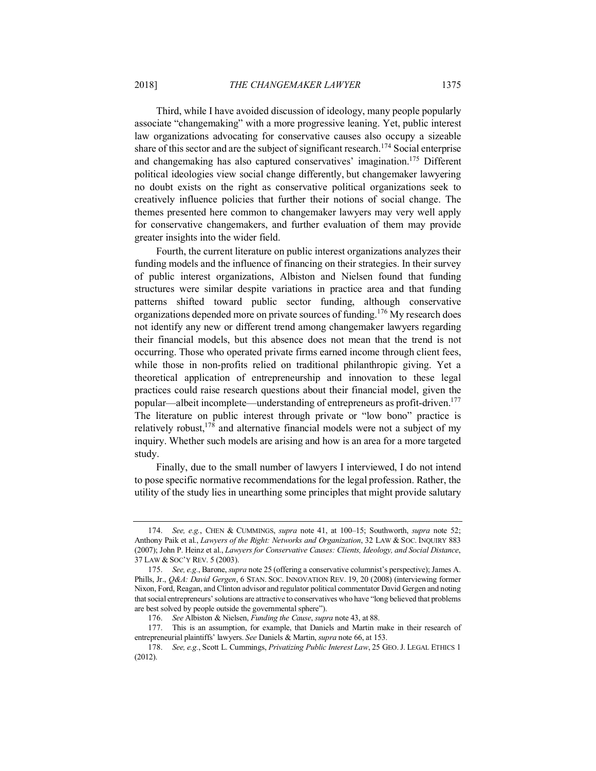Third, while I have avoided discussion of ideology, many people popularly associate "changemaking" with a more progressive leaning. Yet, public interest law organizations advocating for conservative causes also occupy a sizeable share of this sector and are the subject of significant research.<sup>174</sup> Social enterprise and changemaking has also captured conservatives' imagination.175 Different political ideologies view social change differently, but changemaker lawyering no doubt exists on the right as conservative political organizations seek to creatively influence policies that further their notions of social change. The themes presented here common to changemaker lawyers may very well apply for conservative changemakers, and further evaluation of them may provide greater insights into the wider field.

Fourth, the current literature on public interest organizations analyzes their funding models and the influence of financing on their strategies. In their survey of public interest organizations, Albiston and Nielsen found that funding structures were similar despite variations in practice area and that funding patterns shifted toward public sector funding, although conservative organizations depended more on private sources of funding.<sup>176</sup> My research does not identify any new or different trend among changemaker lawyers regarding their financial models, but this absence does not mean that the trend is not occurring. Those who operated private firms earned income through client fees, while those in non-profits relied on traditional philanthropic giving. Yet a theoretical application of entrepreneurship and innovation to these legal practices could raise research questions about their financial model, given the popular—albeit incomplete—understanding of entrepreneurs as profit-driven.177 The literature on public interest through private or "low bono" practice is relatively robust,<sup>178</sup> and alternative financial models were not a subject of my inquiry. Whether such models are arising and how is an area for a more targeted study.

Finally, due to the small number of lawyers I interviewed, I do not intend to pose specific normative recommendations for the legal profession. Rather, the utility of the study lies in unearthing some principles that might provide salutary

<sup>174.</sup> *See, e.g.*, CHEN & CUMMINGS, *supra* note 41, at 100–15; Southworth, *supra* note 52; Anthony Paik et al., *Lawyers of the Right: Networks and Organization*, 32 LAW & SOC. INQUIRY 883 (2007); John P. Heinz et al., *Lawyers for Conservative Causes: Clients, Ideology, and Social Distance*, 37 LAW & SOC'Y REV. 5 (2003).

<sup>175.</sup> *See, e.g.*, Barone, *supra* note 25 (offering a conservative columnist's perspective); James A. Phills, Jr., *Q&A: David Gergen*, 6 STAN. SOC. INNOVATION REV. 19, 20 (2008) (interviewing former Nixon, Ford, Reagan, and Clinton advisor and regulator political commentator David Gergen and noting that social entrepreneurs' solutions are attractive to conservatives who have "long believed that problems are best solved by people outside the governmental sphere").

<sup>176.</sup> *See* Albiston & Nielsen, *Funding the Cause*, *supra* note 43, at 88.

<sup>177.</sup> This is an assumption, for example, that Daniels and Martin make in their research of entrepreneurial plaintiffs' lawyers. *See* Daniels & Martin, *supra* note 66, at 153.

<sup>178.</sup> *See, e.g.*, Scott L. Cummings, *Privatizing Public Interest Law*, 25 GEO.J. LEGAL ETHICS 1 (2012).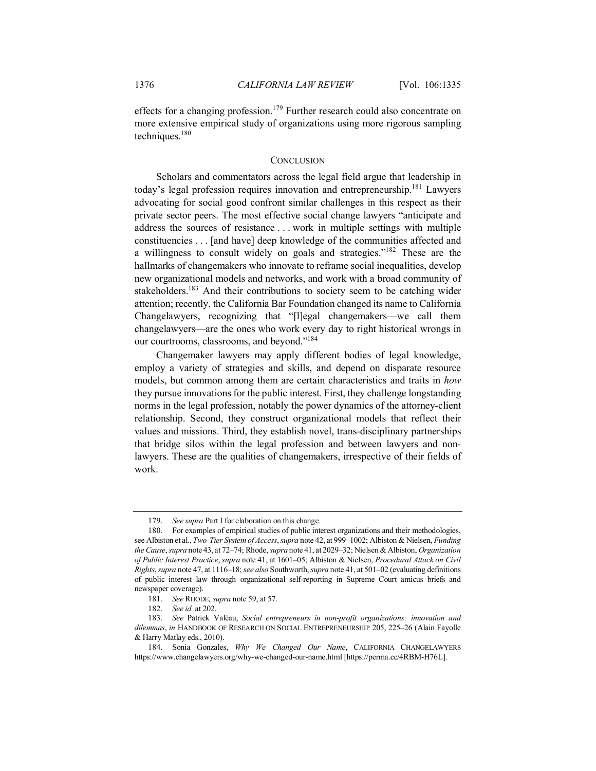effects for a changing profession.<sup>179</sup> Further research could also concentrate on more extensive empirical study of organizations using more rigorous sampling techniques.<sup>180</sup>

## **CONCLUSION**

Scholars and commentators across the legal field argue that leadership in today's legal profession requires innovation and entrepreneurship.181 Lawyers advocating for social good confront similar challenges in this respect as their private sector peers. The most effective social change lawyers "anticipate and address the sources of resistance . . . work in multiple settings with multiple constituencies . . . [and have] deep knowledge of the communities affected and a willingness to consult widely on goals and strategies."182 These are the hallmarks of changemakers who innovate to reframe social inequalities, develop new organizational models and networks, and work with a broad community of stakeholders.<sup>183</sup> And their contributions to society seem to be catching wider attention; recently, the California Bar Foundation changed its name to California Changelawyers, recognizing that "[l]egal changemakers—we call them changelawyers—are the ones who work every day to right historical wrongs in our courtrooms, classrooms, and beyond."184

Changemaker lawyers may apply different bodies of legal knowledge, employ a variety of strategies and skills, and depend on disparate resource models, but common among them are certain characteristics and traits in *how* they pursue innovations for the public interest. First, they challenge longstanding norms in the legal profession, notably the power dynamics of the attorney-client relationship. Second, they construct organizational models that reflect their values and missions. Third, they establish novel, trans-disciplinary partnerships that bridge silos within the legal profession and between lawyers and nonlawyers. These are the qualities of changemakers, irrespective of their fields of work.

<sup>179.</sup> *See supra* Part I for elaboration on this change.

<sup>180.</sup> For examples of empirical studies of public interest organizations and their methodologies, see Albiston et al., *Two-Tier System of Access*, *supra* note 42, at 999–1002; Albiston & Nielsen, *Funding the Cause*, *supra* note 43, at 72–74; Rhode, *supra* note 41, at 2029–32; Nielsen & Albiston, *Organization of Public Interest Practice*, *supra* note 41, at 1601–05; Albiston & Nielsen, *Procedural Attack on Civil Rights*, *supra* note 47, at 1116–18; *see also* Southworth, *supra* note 41, at 501–02 (evaluating definitions of public interest law through organizational self-reporting in Supreme Court amicus briefs and newspaper coverage).

<sup>181.</sup> *See* RHODE*, supra* note 59, at 57.

<sup>182.</sup> *See id.* at 202.

<sup>183.</sup> *See* Patrick Valéau, *Social entrepreneurs in non-profit organizations: innovation and dilemmas*, *in* HANDBOOK OF RESEARCH ON SOCIAL ENTREPRENEURSHIP 205, 225–26 (Alain Fayolle & Harry Matlay eds., 2010).

<sup>184.</sup> Sonia Gonzales, *Why We Changed Our Name*, CALIFORNIA CHANGELAWYERS https://www.changelawyers.org/why-we-changed-our-name.html [https://perma.cc/4RBM-H76L].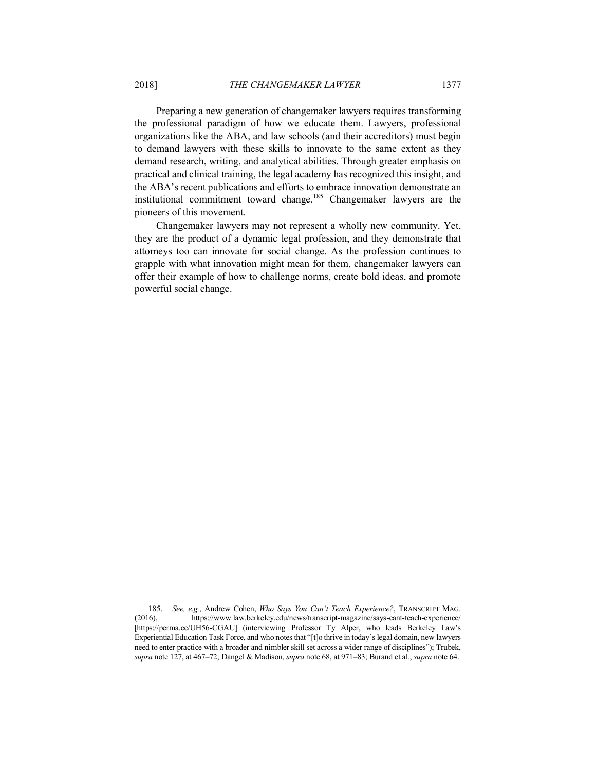Preparing a new generation of changemaker lawyers requires transforming the professional paradigm of how we educate them. Lawyers, professional organizations like the ABA, and law schools (and their accreditors) must begin to demand lawyers with these skills to innovate to the same extent as they demand research, writing, and analytical abilities. Through greater emphasis on practical and clinical training, the legal academy has recognized this insight, and the ABA's recent publications and efforts to embrace innovation demonstrate an institutional commitment toward change.185 Changemaker lawyers are the pioneers of this movement.

Changemaker lawyers may not represent a wholly new community. Yet, they are the product of a dynamic legal profession, and they demonstrate that attorneys too can innovate for social change. As the profession continues to grapple with what innovation might mean for them, changemaker lawyers can offer their example of how to challenge norms, create bold ideas, and promote powerful social change.

<sup>185.</sup> *See, e.g.*, Andrew Cohen, *Who Says You Can't Teach Experience?*, TRANSCRIPT MAG. (2016), https://www.law.berkeley.edu/news/transcript-magazine/says-cant-teach-experience/ [https://perma.cc/UH56-CGAU] (interviewing Professor Ty Alper, who leads Berkeley Law's Experiential Education Task Force, and who notes that "[t]o thrive in today's legal domain, new lawyers need to enter practice with a broader and nimbler skill set across a wider range of disciplines"); Trubek, *supra* note 127, at 467–72; Dangel & Madison, *supra* note 68, at 971–83; Burand et al., *supra* note 64.